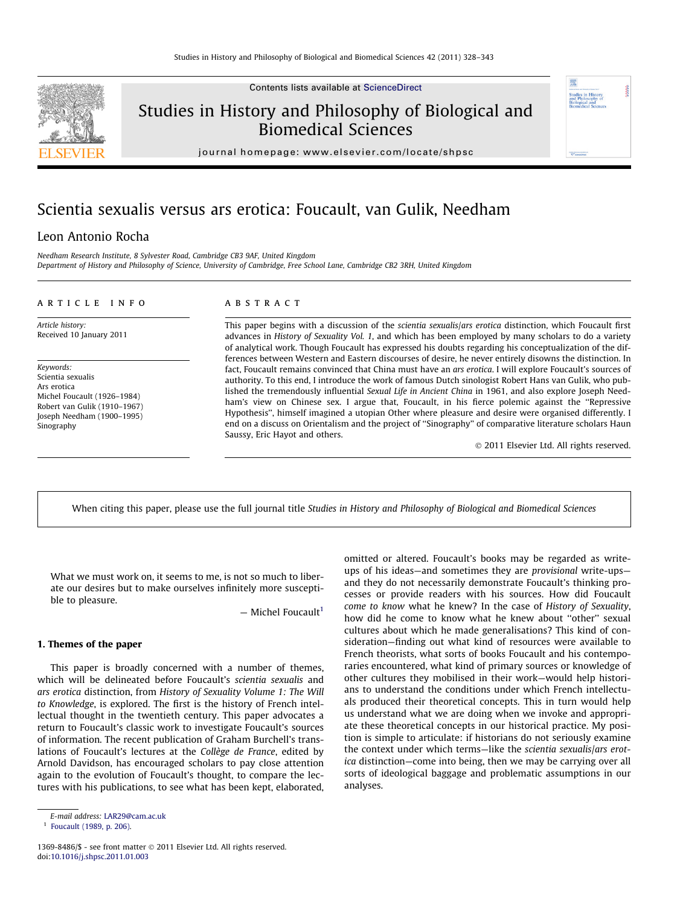

Contents lists available at [ScienceDirect](http://www.sciencedirect.com/science/journal/13698486)

# Studies in History and Philosophy of Biological and Biomedical Sciences



journal homepage: [www.elsevier.com/locate/shpsc](http://www.elsevier.com/locate/shpsc)

# Scientia sexualis versus ars erotica: Foucault, van Gulik, Needham

# Leon Antonio Rocha

Needham Research Institute, 8 Sylvester Road, Cambridge CB3 9AF, United Kingdom Department of History and Philosophy of Science, University of Cambridge, Free School Lane, Cambridge CB2 3RH, United Kingdom

# article info

Article history: Received 10 January 2011

Keywords: Scientia sexualis Ars erotica Michel Foucault (1926–1984) Robert van Gulik (1910–1967) Joseph Needham (1900–1995) Sinography

### **ABSTRACT**

This paper begins with a discussion of the scientia sexualis/ars erotica distinction, which Foucault first advances in History of Sexuality Vol. 1, and which has been employed by many scholars to do a variety of analytical work. Though Foucault has expressed his doubts regarding his conceptualization of the differences between Western and Eastern discourses of desire, he never entirely disowns the distinction. In fact, Foucault remains convinced that China must have an ars erotica. I will explore Foucault's sources of authority. To this end, I introduce the work of famous Dutch sinologist Robert Hans van Gulik, who published the tremendously influential Sexual Life in Ancient China in 1961, and also explore Joseph Needham's view on Chinese sex. I argue that, Foucault, in his fierce polemic against the "Repressive Hypothesis'', himself imagined a utopian Other where pleasure and desire were organised differently. I end on a discuss on Orientalism and the project of ''Sinography'' of comparative literature scholars Haun Saussy, Eric Hayot and others.

- 2011 Elsevier Ltd. All rights reserved.

When citing this paper, please use the full journal title Studies in History and Philosophy of Biological and Biomedical Sciences

What we must work on, it seems to me, is not so much to liberate our desires but to make ourselves infinitely more susceptible to pleasure.

 $-$  Michel Foucault<sup>1</sup>

# 1. Themes of the paper

This paper is broadly concerned with a number of themes, which will be delineated before Foucault's scientia sexualis and ars erotica distinction, from History of Sexuality Volume 1: The Will to Knowledge, is explored. The first is the history of French intellectual thought in the twentieth century. This paper advocates a return to Foucault's classic work to investigate Foucault's sources of information. The recent publication of Graham Burchell's translations of Foucault's lectures at the Collège de France, edited by Arnold Davidson, has encouraged scholars to pay close attention again to the evolution of Foucault's thought, to compare the lectures with his publications, to see what has been kept, elaborated, omitted or altered. Foucault's books may be regarded as writeups of his ideas—and sometimes they are provisional write-ups and they do not necessarily demonstrate Foucault's thinking processes or provide readers with his sources. How did Foucault come to know what he knew? In the case of History of Sexuality, how did he come to know what he knew about ''other'' sexual cultures about which he made generalisations? This kind of consideration—finding out what kind of resources were available to French theorists, what sorts of books Foucault and his contemporaries encountered, what kind of primary sources or knowledge of other cultures they mobilised in their work—would help historians to understand the conditions under which French intellectuals produced their theoretical concepts. This in turn would help us understand what we are doing when we invoke and appropriate these theoretical concepts in our historical practice. My position is simple to articulate: if historians do not seriously examine the context under which terms—like the scientia sexualis/ars erotica distinction—come into being, then we may be carrying over all sorts of ideological baggage and problematic assumptions in our analyses.

E-mail address: [LAR29@cam.ac.uk](mailto:LAR29@cam.ac.uk)

<sup>1</sup> [Foucault \(1989, p. 206\).](#page-13-0)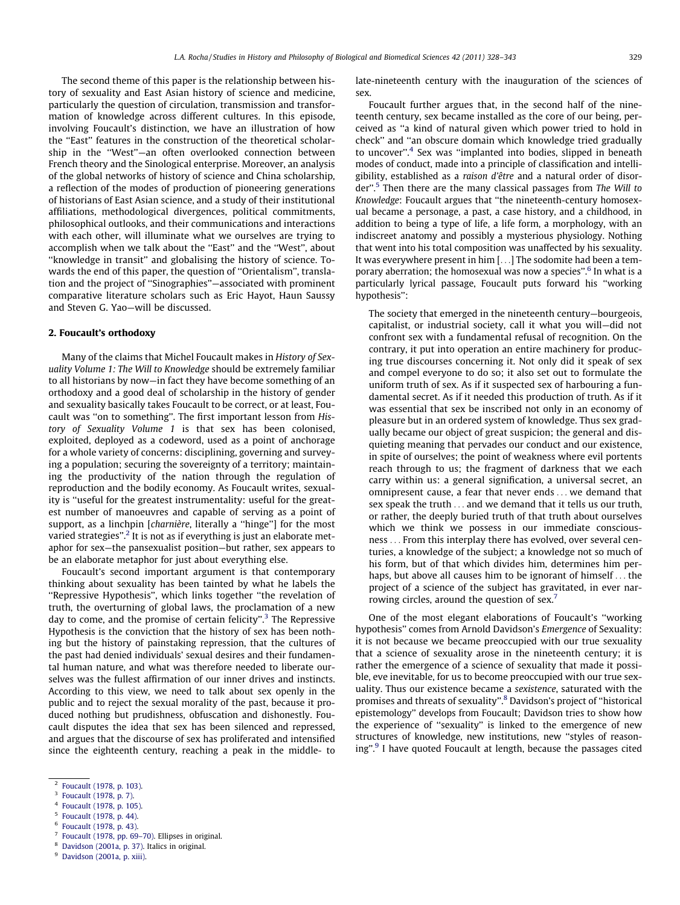The second theme of this paper is the relationship between history of sexuality and East Asian history of science and medicine, particularly the question of circulation, transmission and transformation of knowledge across different cultures. In this episode, involving Foucault's distinction, we have an illustration of how the ''East'' features in the construction of the theoretical scholarship in the ''West''—an often overlooked connection between French theory and the Sinological enterprise. Moreover, an analysis of the global networks of history of science and China scholarship, a reflection of the modes of production of pioneering generations of historians of East Asian science, and a study of their institutional affiliations, methodological divergences, political commitments, philosophical outlooks, and their communications and interactions with each other, will illuminate what we ourselves are trying to accomplish when we talk about the ''East'' and the ''West'', about ''knowledge in transit'' and globalising the history of science. Towards the end of this paper, the question of ''Orientalism'', translation and the project of ''Sinographies''—associated with prominent comparative literature scholars such as Eric Hayot, Haun Saussy and Steven G. Yao—will be discussed.

# 2. Foucault's orthodoxy

Many of the claims that Michel Foucault makes in History of Sexuality Volume 1: The Will to Knowledge should be extremely familiar to all historians by now—in fact they have become something of an orthodoxy and a good deal of scholarship in the history of gender and sexuality basically takes Foucault to be correct, or at least, Foucault was ''on to something''. The first important lesson from History of Sexuality Volume 1 is that sex has been colonised, exploited, deployed as a codeword, used as a point of anchorage for a whole variety of concerns: disciplining, governing and surveying a population; securing the sovereignty of a territory; maintaining the productivity of the nation through the regulation of reproduction and the bodily economy. As Foucault writes, sexuality is ''useful for the greatest instrumentality: useful for the greatest number of manoeuvres and capable of serving as a point of support, as a linchpin [charnière, literally a "hinge"] for the most varied strategies".<sup>2</sup> It is not as if everything is just an elaborate metaphor for sex—the pansexualist position—but rather, sex appears to be an elaborate metaphor for just about everything else.

Foucault's second important argument is that contemporary thinking about sexuality has been tainted by what he labels the ''Repressive Hypothesis'', which links together ''the revelation of truth, the overturning of global laws, the proclamation of a new day to come, and the promise of certain felicity".<sup>3</sup> The Repressive Hypothesis is the conviction that the history of sex has been nothing but the history of painstaking repression, that the cultures of the past had denied individuals' sexual desires and their fundamental human nature, and what was therefore needed to liberate ourselves was the fullest affirmation of our inner drives and instincts. According to this view, we need to talk about sex openly in the public and to reject the sexual morality of the past, because it produced nothing but prudishness, obfuscation and dishonestly. Foucault disputes the idea that sex has been silenced and repressed, and argues that the discourse of sex has proliferated and intensified since the eighteenth century, reaching a peak in the middle- to

- Foucault (1978, pp. 69-70). Ellipses in original.
- [Davidson \(2001a, p. 37\)](#page-13-0). Italics in original.

late-nineteenth century with the inauguration of the sciences of sex.

Foucault further argues that, in the second half of the nineteenth century, sex became installed as the core of our being, perceived as ''a kind of natural given which power tried to hold in check'' and ''an obscure domain which knowledge tried gradually to uncover".<sup>4</sup> Sex was "implanted into bodies, slipped in beneath modes of conduct, made into a principle of classification and intelligibility, established as a raison d'être and a natural order of disorder''.5 Then there are the many classical passages from The Will to Knowledge: Foucault argues that ''the nineteenth-century homosexual became a personage, a past, a case history, and a childhood, in addition to being a type of life, a life form, a morphology, with an indiscreet anatomy and possibly a mysterious physiology. Nothing that went into his total composition was unaffected by his sexuality. It was everywhere present in him [...] The sodomite had been a temporary aberration; the homosexual was now a species''.<sup>6</sup> In what is a particularly lyrical passage, Foucault puts forward his ''working hypothesis'':

The society that emerged in the nineteenth century—bourgeois, capitalist, or industrial society, call it what you will—did not confront sex with a fundamental refusal of recognition. On the contrary, it put into operation an entire machinery for producing true discourses concerning it. Not only did it speak of sex and compel everyone to do so; it also set out to formulate the uniform truth of sex. As if it suspected sex of harbouring a fundamental secret. As if it needed this production of truth. As if it was essential that sex be inscribed not only in an economy of pleasure but in an ordered system of knowledge. Thus sex gradually became our object of great suspicion; the general and disquieting meaning that pervades our conduct and our existence, in spite of ourselves; the point of weakness where evil portents reach through to us; the fragment of darkness that we each carry within us: a general signification, a universal secret, an omnipresent cause, a fear that never ends ... we demand that sex speak the truth ... and we demand that it tells us our truth, or rather, the deeply buried truth of that truth about ourselves which we think we possess in our immediate consciousness ... From this interplay there has evolved, over several centuries, a knowledge of the subject; a knowledge not so much of his form, but of that which divides him, determines him perhaps, but above all causes him to be ignorant of himself ... the project of a science of the subject has gravitated, in ever narrowing circles, around the question of sex.<sup>7</sup>

One of the most elegant elaborations of Foucault's ''working hypothesis'' comes from Arnold Davidson's Emergence of Sexuality: it is not because we became preoccupied with our true sexuality that a science of sexuality arose in the nineteenth century; it is rather the emergence of a science of sexuality that made it possible, eve inevitable, for us to become preoccupied with our true sexuality. Thus our existence became a sexistence, saturated with the promises and threats of sexuality''.8 Davidson's project of ''historical epistemology'' develops from Foucault; Davidson tries to show how the experience of ''sexuality'' is linked to the emergence of new structures of knowledge, new institutions, new ''styles of reasoning".<sup>9</sup> I have quoted Foucault at length, because the passages cited

<sup>2</sup> [Foucault \(1978, p. 103\).](#page-13-0)

<sup>3</sup> [Foucault \(1978, p. 7\)](#page-13-0).

[Foucault \(1978, p. 105\).](#page-13-0)

<sup>5</sup> [Foucault \(1978, p. 44\).](#page-13-0)

<sup>6</sup> [Foucault \(1978, p. 43\).](#page-13-0)

<sup>9</sup> [Davidson \(2001a, p. xiii\)](#page-13-0).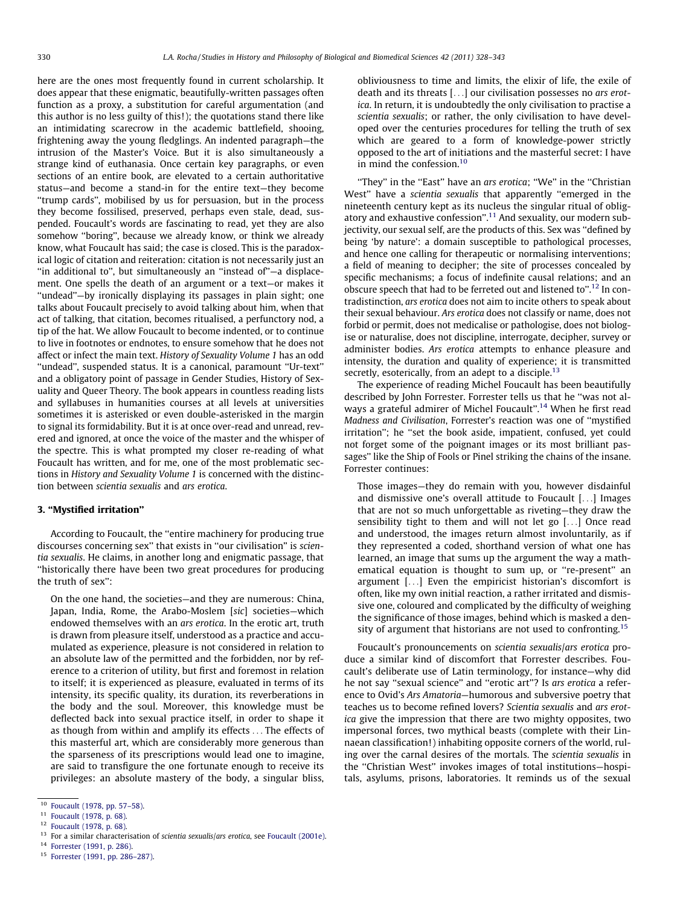here are the ones most frequently found in current scholarship. It does appear that these enigmatic, beautifully-written passages often function as a proxy, a substitution for careful argumentation (and this author is no less guilty of this!); the quotations stand there like an intimidating scarecrow in the academic battlefield, shooing, frightening away the young fledglings. An indented paragraph—the intrusion of the Master's Voice. But it is also simultaneously a strange kind of euthanasia. Once certain key paragraphs, or even sections of an entire book, are elevated to a certain authoritative status—and become a stand-in for the entire text—they become ''trump cards'', mobilised by us for persuasion, but in the process they become fossilised, preserved, perhaps even stale, dead, suspended. Foucault's words are fascinating to read, yet they are also somehow ''boring'', because we already know, or think we already know, what Foucault has said; the case is closed. This is the paradoxical logic of citation and reiteration: citation is not necessarily just an ''in additional to'', but simultaneously an ''instead of''—a displacement. One spells the death of an argument or a text—or makes it ''undead''—by ironically displaying its passages in plain sight; one talks about Foucault precisely to avoid talking about him, when that act of talking, that citation, becomes ritualised, a perfunctory nod, a tip of the hat. We allow Foucault to become indented, or to continue to live in footnotes or endnotes, to ensure somehow that he does not affect or infect the main text. History of Sexuality Volume 1 has an odd ''undead'', suspended status. It is a canonical, paramount ''Ur-text'' and a obligatory point of passage in Gender Studies, History of Sexuality and Queer Theory. The book appears in countless reading lists and syllabuses in humanities courses at all levels at universities sometimes it is asterisked or even double-asterisked in the margin to signal its formidability. But it is at once over-read and unread, revered and ignored, at once the voice of the master and the whisper of the spectre. This is what prompted my closer re-reading of what Foucault has written, and for me, one of the most problematic sections in History and Sexuality Volume 1 is concerned with the distinction between scientia sexualis and ars erotica.

# 3. ''Mystified irritation''

According to Foucault, the ''entire machinery for producing true discourses concerning sex'' that exists in ''our civilisation'' is scientia sexualis. He claims, in another long and enigmatic passage, that ''historically there have been two great procedures for producing the truth of sex'':

On the one hand, the societies—and they are numerous: China, Japan, India, Rome, the Arabo-Moslem [sic] societies—which endowed themselves with an ars erotica. In the erotic art, truth is drawn from pleasure itself, understood as a practice and accumulated as experience, pleasure is not considered in relation to an absolute law of the permitted and the forbidden, nor by reference to a criterion of utility, but first and foremost in relation to itself; it is experienced as pleasure, evaluated in terms of its intensity, its specific quality, its duration, its reverberations in the body and the soul. Moreover, this knowledge must be deflected back into sexual practice itself, in order to shape it as though from within and amplify its effects ... The effects of this masterful art, which are considerably more generous than the sparseness of its prescriptions would lead one to imagine, are said to transfigure the one fortunate enough to receive its privileges: an absolute mastery of the body, a singular bliss,

<sup>13</sup> For a similar characterisation of scientia sexualis/ars erotica, see [Foucault \(2001e\).](#page-14-0)

obliviousness to time and limits, the elixir of life, the exile of death and its threats [...] our civilisation possesses no ars erotica. In return, it is undoubtedly the only civilisation to practise a scientia sexualis; or rather, the only civilisation to have developed over the centuries procedures for telling the truth of sex which are geared to a form of knowledge-power strictly opposed to the art of initiations and the masterful secret: I have in mind the confession.<sup>10</sup>

"They" in the "East" have an ars erotica; "We" in the "Christian West'' have a scientia sexualis that apparently ''emerged in the nineteenth century kept as its nucleus the singular ritual of obligatory and exhaustive confession".<sup>11</sup> And sexuality, our modern subjectivity, our sexual self, are the products of this. Sex was ''defined by being 'by nature': a domain susceptible to pathological processes, and hence one calling for therapeutic or normalising interventions; a field of meaning to decipher; the site of processes concealed by specific mechanisms; a focus of indefinite causal relations; and an obscure speech that had to be ferreted out and listened to".<sup>12</sup> In contradistinction, ars erotica does not aim to incite others to speak about their sexual behaviour. Ars erotica does not classify or name, does not forbid or permit, does not medicalise or pathologise, does not biologise or naturalise, does not discipline, interrogate, decipher, survey or administer bodies. Ars erotica attempts to enhance pleasure and intensity, the duration and quality of experience; it is transmitted secretly, esoterically, from an adept to a disciple.<sup>13</sup>

The experience of reading Michel Foucault has been beautifully described by John Forrester. Forrester tells us that he ''was not always a grateful admirer of Michel Foucault".<sup>14</sup> When he first read Madness and Civilisation, Forrester's reaction was one of ''mystified irritation''; he ''set the book aside, impatient, confused, yet could not forget some of the poignant images or its most brilliant passages'' like the Ship of Fools or Pinel striking the chains of the insane. Forrester continues:

Those images—they do remain with you, however disdainful and dismissive one's overall attitude to Foucault [...] Images that are not so much unforgettable as riveting—they draw the sensibility tight to them and will not let go [...] Once read and understood, the images return almost involuntarily, as if they represented a coded, shorthand version of what one has learned, an image that sums up the argument the way a mathematical equation is thought to sum up, or ''re-present'' an argument [...] Even the empiricist historian's discomfort is often, like my own initial reaction, a rather irritated and dismissive one, coloured and complicated by the difficulty of weighing the significance of those images, behind which is masked a density of argument that historians are not used to confronting.<sup>15</sup>

Foucault's pronouncements on scientia sexualis/ars erotica produce a similar kind of discomfort that Forrester describes. Foucault's deliberate use of Latin terminology, for instance—why did he not say ''sexual science'' and ''erotic art''? Is ars erotica a reference to Ovid's Ars Amatoria—humorous and subversive poetry that teaches us to become refined lovers? Scientia sexualis and ars erotica give the impression that there are two mighty opposites, two impersonal forces, two mythical beasts (complete with their Linnaean classification!) inhabiting opposite corners of the world, ruling over the carnal desires of the mortals. The scientia sexualis in the ''Christian West'' invokes images of total institutions—hospitals, asylums, prisons, laboratories. It reminds us of the sexual

<sup>10</sup> [Foucault \(1978, pp. 57–58\)](#page-13-0).

<sup>11</sup> [Foucault \(1978, p. 68\)](#page-13-0).

<sup>12</sup> [Foucault \(1978, p. 68\)](#page-13-0).

<sup>14</sup> [Forrester \(1991, p. 286\)](#page-13-0). <sup>15</sup> [Forrester \(1991, pp. 286–287\).](#page-13-0)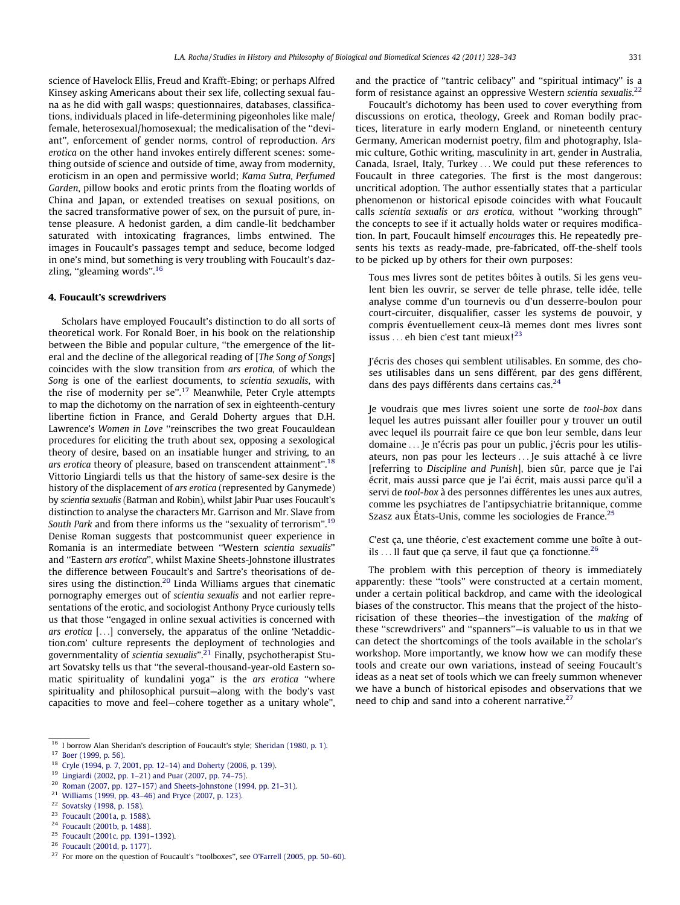science of Havelock Ellis, Freud and Krafft-Ebing; or perhaps Alfred Kinsey asking Americans about their sex life, collecting sexual fauna as he did with gall wasps; questionnaires, databases, classifications, individuals placed in life-determining pigeonholes like male/ female, heterosexual/homosexual; the medicalisation of the ''deviant'', enforcement of gender norms, control of reproduction. Ars erotica on the other hand invokes entirely different scenes: something outside of science and outside of time, away from modernity, eroticism in an open and permissive world; Kama Sutra, Perfumed Garden, pillow books and erotic prints from the floating worlds of China and Japan, or extended treatises on sexual positions, on the sacred transformative power of sex, on the pursuit of pure, intense pleasure. A hedonist garden, a dim candle-lit bedchamber saturated with intoxicating fragrances, limbs entwined. The images in Foucault's passages tempt and seduce, become lodged in one's mind, but something is very troubling with Foucault's dazzling, "gleaming words".<sup>16</sup>

### 4. Foucault's screwdrivers

Scholars have employed Foucault's distinction to do all sorts of theoretical work. For Ronald Boer, in his book on the relationship between the Bible and popular culture, ''the emergence of the literal and the decline of the allegorical reading of [The Song of Songs] coincides with the slow transition from ars erotica, of which the Song is one of the earliest documents, to scientia sexualis, with the rise of modernity per se".<sup>17</sup> Meanwhile, Peter Cryle attempts to map the dichotomy on the narration of sex in eighteenth-century libertine fiction in France, and Gerald Doherty argues that D.H. Lawrence's Women in Love ''reinscribes the two great Foucauldean procedures for eliciting the truth about sex, opposing a sexological theory of desire, based on an insatiable hunger and striving, to an ars erotica theory of pleasure, based on transcendent attainment".<sup>18</sup> Vittorio Lingiardi tells us that the history of same-sex desire is the history of the displacement of ars erotica (represented by Ganymede) by scientia sexualis (Batman and Robin), whilst Jabir Puar uses Foucault's distinction to analyse the characters Mr. Garrison and Mr. Slave from South Park and from there informs us the "sexuality of terrorism".<sup>19</sup> Denise Roman suggests that postcommunist queer experience in Romania is an intermediate between ''Western scientia sexualis'' and ''Eastern ars erotica'', whilst Maxine Sheets-Johnstone illustrates the difference between Foucault's and Sartre's theorisations of desires using the distinction.<sup>20</sup> Linda Williams argues that cinematic pornography emerges out of scientia sexualis and not earlier representations of the erotic, and sociologist Anthony Pryce curiously tells us that those ''engaged in online sexual activities is concerned with ars erotica [...] conversely, the apparatus of the online 'Netaddiction.com' culture represents the deployment of technologies and governmentality of scientia sexualis".<sup>21</sup> Finally, psychotherapist Stuart Sovatsky tells us that ''the several-thousand-year-old Eastern somatic spirituality of kundalini yoga'' is the ars erotica ''where spirituality and philosophical pursuit—along with the body's vast capacities to move and feel—cohere together as a unitary whole'',

<sup>26</sup> [Foucault \(2001d, p. 1177\).](#page-14-0)

and the practice of ''tantric celibacy'' and ''spiritual intimacy'' is a form of resistance against an oppressive Western scientia sexualis.<sup>22</sup>

Foucault's dichotomy has been used to cover everything from discussions on erotica, theology, Greek and Roman bodily practices, literature in early modern England, or nineteenth century Germany, American modernist poetry, film and photography, Islamic culture, Gothic writing, masculinity in art, gender in Australia, Canada, Israel, Italy, Turkey ... We could put these references to Foucault in three categories. The first is the most dangerous: uncritical adoption. The author essentially states that a particular phenomenon or historical episode coincides with what Foucault calls scientia sexualis or ars erotica, without ''working through'' the concepts to see if it actually holds water or requires modification. In part, Foucault himself encourages this. He repeatedly presents his texts as ready-made, pre-fabricated, off-the-shelf tools to be picked up by others for their own purposes:

Tous mes livres sont de petites bôites à outils. Si les gens veulent bien les ouvrir, se server de telle phrase, telle idée, telle analyse comme d'un tournevis ou d'un desserre-boulon pour court-circuiter, disqualifier, casser les systems de pouvoir, y compris éventuellement ceux-là memes dont mes livres sont issus ... eh bien c'est tant mieux!<sup>23</sup>

J'écris des choses qui semblent utilisables. En somme, des choses utilisables dans un sens différent, par des gens différent, dans des pays différents dans certains cas.<sup>24</sup>

Je voudrais que mes livres soient une sorte de tool-box dans lequel les autres puissant aller fouiller pour y trouver un outil avec lequel ils pourrait faire ce que bon leur semble, dans leur domaine ... Je n'écris pas pour un public, j'écris pour les utilisateurs, non pas pour les lecteurs ... Je suis attaché à ce livre [referring to Discipline and Punish], bien sûr, parce que je l'ai écrit, mais aussi parce que je l'ai écrit, mais aussi parce qu'il a servi de tool-box à des personnes différentes les unes aux autres, comme les psychiatres de l'antipsychiatrie britannique, comme Szasz aux États-Unis, comme les sociologies de France.<sup>25</sup>

C'est ça, une théorie, c'est exactement comme une boîte à outils  $\dots$  Il faut que ça serve, il faut que ça fonctionne.<sup>26</sup>

The problem with this perception of theory is immediately apparently: these "tools" were constructed at a certain moment, under a certain political backdrop, and came with the ideological biases of the constructor. This means that the project of the historicisation of these theories—the investigation of the making of these ''screwdrivers'' and ''spanners''—is valuable to us in that we can detect the shortcomings of the tools available in the scholar's workshop. More importantly, we know how we can modify these tools and create our own variations, instead of seeing Foucault's ideas as a neat set of tools which we can freely summon whenever we have a bunch of historical episodes and observations that we need to chip and sand into a coherent narrative.<sup>27</sup>

<sup>&</sup>lt;sup>16</sup> I borrow Alan Sheridan's description of Foucault's style; [Sheridan \(1980, p. 1\).](#page-14-0)<br><sup>17</sup> Boer (1999, p. 56).

[Boer \(1999, p. 56\)](#page-13-0).

<sup>&</sup>lt;sup>18</sup> [Cryle \(1994, p. 7, 2001, pp. 12–14\) and Doherty \(2006, p. 139\).](#page-13-0)<br><sup>19</sup> Lingiardi (2002, pp. 1, 21) and Puar (2007, pp. 74, 75).

<sup>&</sup>lt;sup>19</sup> [Lingiardi \(2002, pp. 1–21\) and Puar \(2007, pp. 74–75\)](#page-14-0).<br><sup>20</sup> Roman (2007, pp. 127–157) and Sheets-Johnstone (199

<sup>20</sup> [Roman \(2007, pp. 127–157\) and Sheets-Johnstone \(1994, pp. 21–31\).](#page-14-0)

<sup>21</sup> [Williams \(1999, pp. 43–46\) and Pryce \(2007, p. 123\)](#page-15-0).

<sup>&</sup>lt;sup>22</sup> [Sovatsky \(1998, p. 158\)](#page-14-0).<br><sup>23</sup> Equatult (2001a, p. 1588).

<sup>&</sup>lt;sup>23</sup> [Foucault \(2001a, p. 1588\).](#page-13-0)<br><sup>24</sup> Foucault (2001b, p. 1488).

[Foucault \(2001b, p. 1488\).](#page-14-0)

<sup>25</sup> [Foucault \(2001c, pp. 1391–1392\).](#page-14-0)

<sup>&</sup>lt;sup>27</sup> For more on the question of Foucault's "toolboxes", see O'Farrell (2005, pp. 50-60).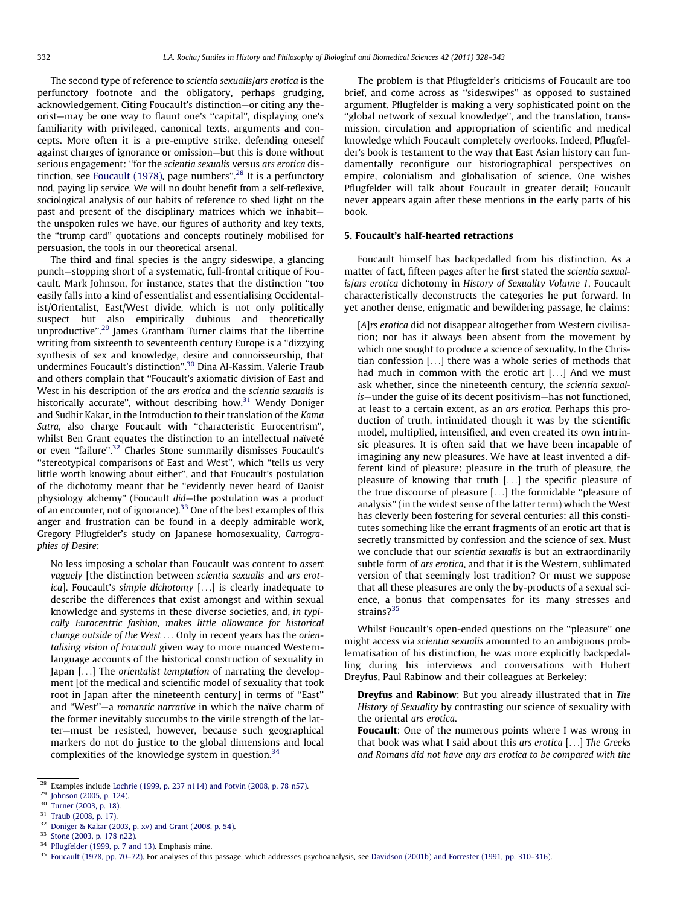The second type of reference to scientia sexualis/ars erotica is the perfunctory footnote and the obligatory, perhaps grudging, acknowledgement. Citing Foucault's distinction—or citing any theorist—may be one way to flaunt one's ''capital'', displaying one's familiarity with privileged, canonical texts, arguments and concepts. More often it is a pre-emptive strike, defending oneself against charges of ignorance or omission—but this is done without serious engagement: ''for the scientia sexualis versus ars erotica dis-tinction, see [Foucault \(1978\)](#page-13-0), page numbers".<sup>28</sup> It is a perfunctory nod, paying lip service. We will no doubt benefit from a self-reflexive, sociological analysis of our habits of reference to shed light on the past and present of the disciplinary matrices which we inhabit the unspoken rules we have, our figures of authority and key texts, the ''trump card'' quotations and concepts routinely mobilised for persuasion, the tools in our theoretical arsenal.

The third and final species is the angry sideswipe, a glancing punch—stopping short of a systematic, full-frontal critique of Foucault. Mark Johnson, for instance, states that the distinction ''too easily falls into a kind of essentialist and essentialising Occidentalist/Orientalist, East/West divide, which is not only politically suspect but also empirically dubious and theoretically unproductive".<sup>29</sup> James Grantham Turner claims that the libertine writing from sixteenth to seventeenth century Europe is a ''dizzying synthesis of sex and knowledge, desire and connoisseurship, that undermines Foucault's distinction''.30 Dina Al-Kassim, Valerie Traub and others complain that ''Foucault's axiomatic division of East and West in his description of the ars erotica and the scientia sexualis is historically accurate", without describing how. $31$  Wendy Doniger and Sudhir Kakar, in the Introduction to their translation of the Kama Sutra, also charge Foucault with ''characteristic Eurocentrism'', whilst Ben Grant equates the distinction to an intellectual naïveté or even "failure".<sup>32</sup> Charles Stone summarily dismisses Foucault's ''stereotypical comparisons of East and West'', which ''tells us very little worth knowing about either'', and that Foucault's postulation of the dichotomy meant that he ''evidently never heard of Daoist physiology alchemy'' (Foucault did—the postulation was a product of an encounter, not of ignorance).<sup>33</sup> One of the best examples of this anger and frustration can be found in a deeply admirable work, Gregory Pflugfelder's study on Japanese homosexuality, Cartographies of Desire:

No less imposing a scholar than Foucault was content to assert vaguely [the distinction between scientia sexualis and ars erotica]. Foucault's simple dichotomy [...] is clearly inadequate to describe the differences that exist amongst and within sexual knowledge and systems in these diverse societies, and, in typically Eurocentric fashion, makes little allowance for historical change outside of the West ... Only in recent years has the orientalising vision of Foucault given way to more nuanced Westernlanguage accounts of the historical construction of sexuality in Japan [...] The orientalist temptation of narrating the development [of the medical and scientific model of sexuality that took root in Japan after the nineteenth century] in terms of ''East'' and ''West''—a romantic narrative in which the naïve charm of the former inevitably succumbs to the virile strength of the latter—must be resisted, however, because such geographical markers do not do justice to the global dimensions and local complexities of the knowledge system in question.<sup>34</sup>

<sup>34</sup> [Pflugfelder \(1999, p. 7 and 13\).](#page-14-0) Emphasis mine.

<sup>35</sup> [Foucault \(1978, pp. 70–72\).](#page-13-0) For analyses of this passage, which addresses psychoanalysis, see [Davidson \(2001b\) and Forrester \(1991, pp. 310–316\)](#page-13-0).

The problem is that Pflugfelder's criticisms of Foucault are too brief, and come across as ''sideswipes'' as opposed to sustained argument. Pflugfelder is making a very sophisticated point on the ''global network of sexual knowledge'', and the translation, transmission, circulation and appropriation of scientific and medical knowledge which Foucault completely overlooks. Indeed, Pflugfelder's book is testament to the way that East Asian history can fundamentally reconfigure our historiographical perspectives on empire, colonialism and globalisation of science. One wishes Pflugfelder will talk about Foucault in greater detail; Foucault never appears again after these mentions in the early parts of his book.

# 5. Foucault's half-hearted retractions

Foucault himself has backpedalled from his distinction. As a matter of fact, fifteen pages after he first stated the scientia sexualis/ars erotica dichotomy in History of Sexuality Volume 1, Foucault characteristically deconstructs the categories he put forward. In yet another dense, enigmatic and bewildering passage, he claims:

[A]rs erotica did not disappear altogether from Western civilisation; nor has it always been absent from the movement by which one sought to produce a science of sexuality. In the Christian confession [...] there was a whole series of methods that had much in common with the erotic art [...] And we must ask whether, since the nineteenth century, the scientia sexualis—under the guise of its decent positivism—has not functioned, at least to a certain extent, as an ars erotica. Perhaps this production of truth, intimidated though it was by the scientific model, multiplied, intensified, and even created its own intrinsic pleasures. It is often said that we have been incapable of imagining any new pleasures. We have at least invented a different kind of pleasure: pleasure in the truth of pleasure, the pleasure of knowing that truth [...] the specific pleasure of the true discourse of pleasure [...] the formidable ''pleasure of analysis'' (in the widest sense of the latter term) which the West has cleverly been fostering for several centuries: all this constitutes something like the errant fragments of an erotic art that is secretly transmitted by confession and the science of sex. Must we conclude that our scientia sexualis is but an extraordinarily subtle form of ars erotica, and that it is the Western, sublimated version of that seemingly lost tradition? Or must we suppose that all these pleasures are only the by-products of a sexual science, a bonus that compensates for its many stresses and strains?<sup>35</sup>

Whilst Foucault's open-ended questions on the ''pleasure'' one might access via scientia sexualis amounted to an ambiguous problematisation of his distinction, he was more explicitly backpedalling during his interviews and conversations with Hubert Dreyfus, Paul Rabinow and their colleagues at Berkeley:

Dreyfus and Rabinow: But you already illustrated that in The History of Sexuality by contrasting our science of sexuality with the oriental ars erotica.

Foucault: One of the numerous points where I was wrong in that book was what I said about this ars erotica [...] The Greeks and Romans did not have any ars erotica to be compared with the

<sup>&</sup>lt;sup>28</sup> Examples include [Lochrie \(1999, p. 237 n114\) and Potvin \(2008, p. 78 n57\).](#page-14-0)

<sup>29</sup> [Johnson \(2005, p. 124\).](#page-14-0)

<sup>30</sup> [Turner \(2003, p. 18\)](#page-14-0).

<sup>31</sup> [Traub \(2008, p. 17\).](#page-14-0)

<sup>32</sup> [Doniger & Kakar \(2003, p. xv\) and Grant \(2008, p. 54\)](#page-13-0).

<sup>33</sup> [Stone \(2003, p. 178 n22\)](#page-14-0).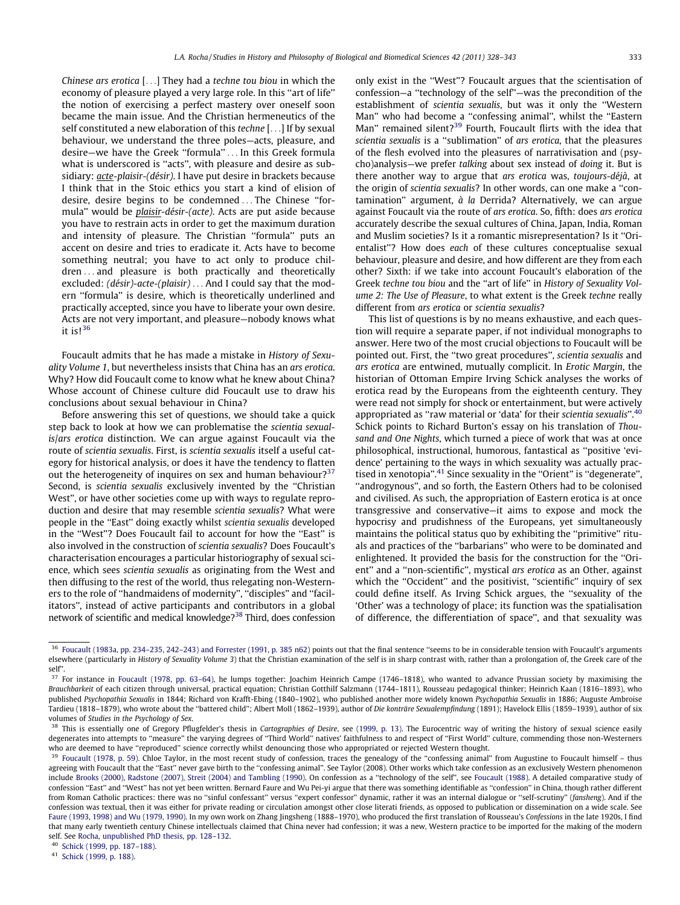Chinese ars erotica [...] They had a techne tou biou in which the economy of pleasure played a very large role. In this ''art of life'' the notion of exercising a perfect mastery over oneself soon became the main issue. And the Christian hermeneutics of the self constituted a new elaboration of this techne [...] If by sexual behaviour, we understand the three poles—acts, pleasure, and desire—we have the Greek ''formula'' ... In this Greek formula what is underscored is "acts", with pleasure and desire as subsidiary: *acte-plaisir-(désir)*. I have put desire in brackets because I think that in the Stoic ethics you start a kind of elision of desire, desire begins to be condemned ... The Chinese ''formula" would be *plaisir-désir-(acte)*. Acts are put aside because you have to restrain acts in order to get the maximum duration and intensity of pleasure. The Christian ''formula'' puts an accent on desire and tries to eradicate it. Acts have to become something neutral; you have to act only to produce children ... and pleasure is both practically and theoretically excluded: (désir)-acte-(plaisir) ... And I could say that the modern ''formula'' is desire, which is theoretically underlined and practically accepted, since you have to liberate your own desire. Acts are not very important, and pleasure—nobody knows what it is! $36$ 

Foucault admits that he has made a mistake in History of Sexuality Volume 1, but nevertheless insists that China has an ars erotica. Why? How did Foucault come to know what he knew about China? Whose account of Chinese culture did Foucault use to draw his conclusions about sexual behaviour in China?

Before answering this set of questions, we should take a quick step back to look at how we can problematise the scientia sexualis/ars erotica distinction. We can argue against Foucault via the route of scientia sexualis. First, is scientia sexualis itself a useful category for historical analysis, or does it have the tendency to flatten out the heterogeneity of inquires on sex and human behaviour?<sup>37</sup> Second, is *scientia sexualis* exclusively invented by the "Christian West'', or have other societies come up with ways to regulate reproduction and desire that may resemble scientia sexualis? What were people in the ''East'' doing exactly whilst scientia sexualis developed in the ''West''? Does Foucault fail to account for how the ''East'' is also involved in the construction of scientia sexualis? Does Foucault's characterisation encourages a particular historiography of sexual science, which sees scientia sexualis as originating from the West and then diffusing to the rest of the world, thus relegating non-Westerners to the role of ''handmaidens of modernity'', ''disciples'' and ''facilitators'', instead of active participants and contributors in a global network of scientific and medical knowledge?<sup>38</sup> Third, does confession only exist in the ''West''? Foucault argues that the scientisation of confession—a ''technology of the self''—was the precondition of the establishment of scientia sexualis, but was it only the ''Western Man'' who had become a ''confessing animal'', whilst the ''Eastern Man" remained silent?<sup>39</sup> Fourth, Foucault flirts with the idea that scientia sexualis is a ''sublimation'' of ars erotica, that the pleasures of the flesh evolved into the pleasures of narrativisation and (psycho)analysis—we prefer talking about sex instead of doing it. But is there another way to argue that ars erotica was, toujours-déjà, at the origin of scientia sexualis? In other words, can one make a ''contamination'' argument, à la Derrida? Alternatively, we can argue against Foucault via the route of ars erotica. So, fifth: does ars erotica accurately describe the sexual cultures of China, Japan, India, Roman and Muslim societies? Is it a romantic misrepresentation? Is it ''Orientalist"? How does each of these cultures conceptualise sexual behaviour, pleasure and desire, and how different are they from each other? Sixth: if we take into account Foucault's elaboration of the Greek techne tou biou and the ''art of life'' in History of Sexuality Volume 2: The Use of Pleasure, to what extent is the Greek techne really different from ars erotica or scientia sexualis?

This list of questions is by no means exhaustive, and each question will require a separate paper, if not individual monographs to answer. Here two of the most crucial objections to Foucault will be pointed out. First, the ''two great procedures'', scientia sexualis and ars erotica are entwined, mutually complicit. In Erotic Margin, the historian of Ottoman Empire Irving Schick analyses the works of erotica read by the Europeans from the eighteenth century. They were read not simply for shock or entertainment, but were actively appropriated as "raw material or 'data' for their scientia sexualis".<sup>40</sup> Schick points to Richard Burton's essay on his translation of Thousand and One Nights, which turned a piece of work that was at once philosophical, instructional, humorous, fantastical as ''positive 'evidence' pertaining to the ways in which sexuality was actually practised in xenotopia".<sup>41</sup> Since sexuality in the "Orient" is "degenerate", ''androgynous'', and so forth, the Eastern Others had to be colonised and civilised. As such, the appropriation of Eastern erotica is at once transgressive and conservative—it aims to expose and mock the hypocrisy and prudishness of the Europeans, yet simultaneously maintains the political status quo by exhibiting the ''primitive'' rituals and practices of the ''barbarians'' who were to be dominated and enlightened. It provided the basis for the construction for the ''Orient'' and a ''non-scientific'', mystical ars erotica as an Other, against which the "Occident" and the positivist, "scientific" inquiry of sex could define itself. As Irving Schick argues, the ''sexuality of the 'Other' was a technology of place; its function was the spatialisation of difference, the differentiation of space'', and that sexuality was

<sup>40</sup> [Schick \(1999, pp. 187–188\).](#page-14-0) <sup>41</sup> [Schick \(1999, p. 188\)](#page-14-0).

<sup>&</sup>lt;sup>36</sup> [Foucault \(1983a, pp. 234–235, 242–243\) and Forrester \(1991, p. 385 n62\)](#page-13-0) points out that the final sentence "seems to be in considerable tension with Foucault's arguments elsewhere (particularly in History of Sexuality Volume 3) that the Christian examination of the self is in sharp contrast with, rather than a prolongation of, the Greek care of the self''.

<sup>&</sup>lt;sup>37</sup> For instance in Foucault (1978, pp. 63-64), he lumps together: Joachim Heinrich Campe (1746-1818), who wanted to advance Prussian society by maximising the Brauchbarkeit of each citizen through universal, practical equation; Christian Gotthilf Salzmann (1744–1811), Rousseau pedagogical thinker; Heinrich Kaan (1816–1893), who published Psychopathia Sexualis in 1844; Richard von Krafft-Ebing (1840-1902), who published another more widely known Psychopathia Sexualis in 1886; Auguste Ambroise Tardieu (1818–1879), who wrote about the ''battered child''; Albert Moll (1862–1939), author of Die konträre Sexualempfindung (1891); Havelock Ellis (1859–1939), author of six volumes of Studies in the Psychology of Sex.

This is essentially one of Gregory Pflugfelder's thesis in Cartographies of Desire, see [\(1999, p. 13\).](#page-14-0) The Eurocentric way of writing the history of sexual science easily degenerates into attempts to ''measure'' the varying degrees of ''Third World'' natives' faithfulness to and respect of ''First World'' culture, commending those non-Westerners who are deemed to have ''reproduced'' science correctly whilst denouncing those who appropriated or rejected Western thought.

<sup>&</sup>lt;sup>39</sup> [Foucault \(1978, p. 59\).](#page-13-0) Chloe Taylor, in the most recent study of confession, traces the genealogy of the "confessing animal" from Augustine to Foucault himself - thus agreeing with Foucault that the "East" never gave birth to the "confessing animal". See Taylor (2008). Other works which take confession as an exclusively Western phenomenon include [Brooks \(2000\), Radstone \(2007\), Streit \(2004\) and Tambling \(1990\)](#page-13-0). On confession as a "technology of the self", see [Foucault \(1988\).](#page-13-0) A detailed comparative study of confession ''East'' and ''West'' has not yet been written. Bernard Faure and Wu Pei-yi argue that there was something identifiable as ''confession'' in China, though rather different from Roman Catholic practices: there was no "sinful confessant" versus "expert confessor" dynamic, rather it was an internal dialogue or "self-scrutiny" (fansheng). And if the confession was textual, then it was either for private reading or circulation amongst other close literati friends, as opposed to publication or dissemination on a wide scale. See [Faure \(1993, 1998\) and Wu \(1979, 1990\).](#page-13-0) In my own work on Zhang Jingsheng (1888–1970), who produced the first translation of Rousseau's Confessions in the late 1920s, I find that many early twentieth century Chinese intellectuals claimed that China never had confession; it was a new, Western practice to be imported for the making of the modern self. See [Rocha, unpublished PhD thesis, pp. 128–132.](#page-14-0)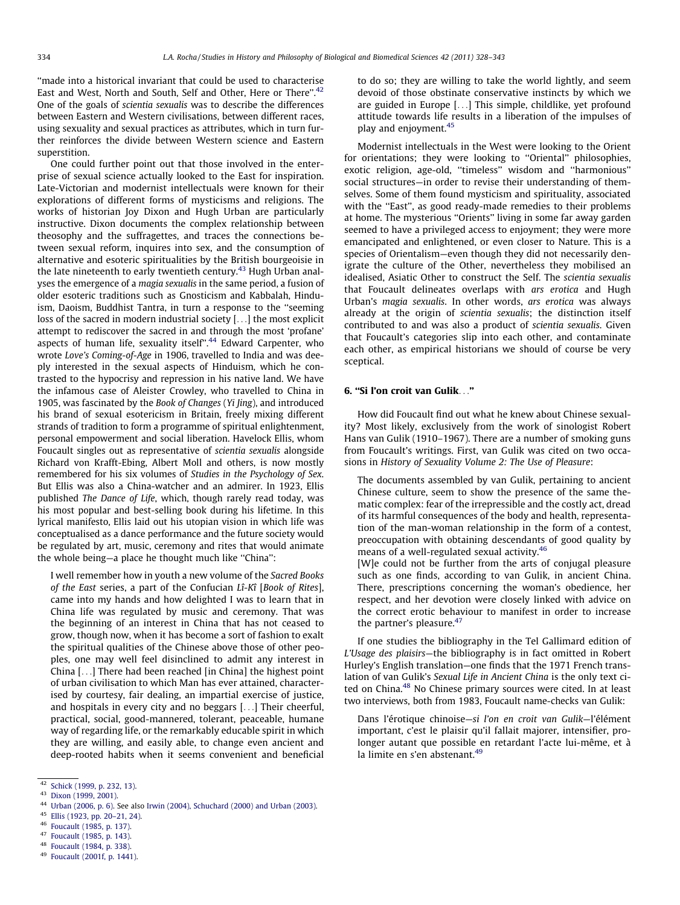''made into a historical invariant that could be used to characterise East and West, North and South, Self and Other, Here or There".<sup>42</sup> One of the goals of scientia sexualis was to describe the differences between Eastern and Western civilisations, between different races, using sexuality and sexual practices as attributes, which in turn further reinforces the divide between Western science and Eastern superstition.

One could further point out that those involved in the enterprise of sexual science actually looked to the East for inspiration. Late-Victorian and modernist intellectuals were known for their explorations of different forms of mysticisms and religions. The works of historian Joy Dixon and Hugh Urban are particularly instructive. Dixon documents the complex relationship between theosophy and the suffragettes, and traces the connections between sexual reform, inquires into sex, and the consumption of alternative and esoteric spiritualities by the British bourgeoisie in the late nineteenth to early twentieth century.<sup>43</sup> Hugh Urban analyses the emergence of a magia sexualis in the same period, a fusion of older esoteric traditions such as Gnosticism and Kabbalah, Hinduism, Daoism, Buddhist Tantra, in turn a response to the ''seeming loss of the sacred in modern industrial society [...] the most explicit attempt to rediscover the sacred in and through the most 'profane' aspects of human life, sexuality itself".<sup>44</sup> Edward Carpenter, who wrote Love's Coming-of-Age in 1906, travelled to India and was deeply interested in the sexual aspects of Hinduism, which he contrasted to the hypocrisy and repression in his native land. We have the infamous case of Aleister Crowley, who travelled to China in 1905, was fascinated by the Book of Changes (Yi Jing), and introduced his brand of sexual esotericism in Britain, freely mixing different strands of tradition to form a programme of spiritual enlightenment, personal empowerment and social liberation. Havelock Ellis, whom Foucault singles out as representative of scientia sexualis alongside Richard von Krafft-Ebing, Albert Moll and others, is now mostly remembered for his six volumes of Studies in the Psychology of Sex. But Ellis was also a China-watcher and an admirer. In 1923, Ellis published The Dance of Life, which, though rarely read today, was his most popular and best-selling book during his lifetime. In this lyrical manifesto, Ellis laid out his utopian vision in which life was conceptualised as a dance performance and the future society would be regulated by art, music, ceremony and rites that would animate the whole being—a place he thought much like ''China'':

I well remember how in youth a new volume of the Sacred Books of the East series, a part of the Confucian Lî-Kî [Book of Rites], came into my hands and how delighted I was to learn that in China life was regulated by music and ceremony. That was the beginning of an interest in China that has not ceased to grow, though now, when it has become a sort of fashion to exalt the spiritual qualities of the Chinese above those of other peoples, one may well feel disinclined to admit any interest in China [...] There had been reached [in China] the highest point of urban civilisation to which Man has ever attained, characterised by courtesy, fair dealing, an impartial exercise of justice, and hospitals in every city and no beggars [...] Their cheerful, practical, social, good-mannered, tolerant, peaceable, humane way of regarding life, or the remarkably educable spirit in which they are willing, and easily able, to change even ancient and deep-rooted habits when it seems convenient and beneficial to do so; they are willing to take the world lightly, and seem devoid of those obstinate conservative instincts by which we are guided in Europe [...] This simple, childlike, yet profound attitude towards life results in a liberation of the impulses of play and enjoyment.45

Modernist intellectuals in the West were looking to the Orient for orientations; they were looking to ''Oriental'' philosophies, exotic religion, age-old, ''timeless'' wisdom and ''harmonious'' social structures—in order to revise their understanding of themselves. Some of them found mysticism and spirituality, associated with the "East", as good ready-made remedies to their problems at home. The mysterious ''Orients'' living in some far away garden seemed to have a privileged access to enjoyment; they were more emancipated and enlightened, or even closer to Nature. This is a species of Orientalism—even though they did not necessarily denigrate the culture of the Other, nevertheless they mobilised an idealised, Asiatic Other to construct the Self. The scientia sexualis that Foucault delineates overlaps with ars erotica and Hugh Urban's magia sexualis. In other words, ars erotica was always already at the origin of scientia sexualis; the distinction itself contributed to and was also a product of scientia sexualis. Given that Foucault's categories slip into each other, and contaminate each other, as empirical historians we should of course be very sceptical.

# 6. ''Si l'on croit van Gulik...''

How did Foucault find out what he knew about Chinese sexuality? Most likely, exclusively from the work of sinologist Robert Hans van Gulik (1910–1967). There are a number of smoking guns from Foucault's writings. First, van Gulik was cited on two occasions in History of Sexuality Volume 2: The Use of Pleasure:

The documents assembled by van Gulik, pertaining to ancient Chinese culture, seem to show the presence of the same thematic complex: fear of the irrepressible and the costly act, dread of its harmful consequences of the body and health, representation of the man-woman relationship in the form of a contest, preoccupation with obtaining descendants of good quality by means of a well-regulated sexual activity.<sup>46</sup>

[W]e could not be further from the arts of conjugal pleasure such as one finds, according to van Gulik, in ancient China. There, prescriptions concerning the woman's obedience, her respect, and her devotion were closely linked with advice on the correct erotic behaviour to manifest in order to increase the partner's pleasure.<sup>47</sup>

If one studies the bibliography in the Tel Gallimard edition of L'Usage des plaisirs—the bibliography is in fact omitted in Robert Hurley's English translation—one finds that the 1971 French translation of van Gulik's Sexual Life in Ancient China is the only text cited on China.<sup>48</sup> No Chinese primary sources were cited. In at least two interviews, both from 1983, Foucault name-checks van Gulik:

Dans l'érotique chinoise—si l'on en croit van Gulik—l'élément important, c'est le plaisir qu'il fallait majorer, intensifier, prolonger autant que possible en retardant l'acte lui-même, et à la limite en s'en abstenant.<sup>49</sup>

 $42$  [Schick \(1999, p. 232, 13\)](#page-14-0).

<sup>43</sup> [Dixon \(1999, 2001\)](#page-13-0).

<sup>44</sup> [Urban \(2006, p. 6\)](#page-14-0). See also [Irwin \(2004\), Schuchard \(2000\) and Urban \(2003\).](#page-14-0)

<sup>45</sup> [Ellis \(1923, pp. 20–21, 24\).](#page-13-0)

<sup>46</sup> [Foucault \(1985, p. 137\).](#page-13-0)

<sup>47</sup> [Foucault \(1985, p. 143\).](#page-13-0) <sup>48</sup> [Foucault \(1984, p. 338\).](#page-13-0)

<sup>49</sup> [Foucault \(2001f, p. 1441\).](#page-14-0)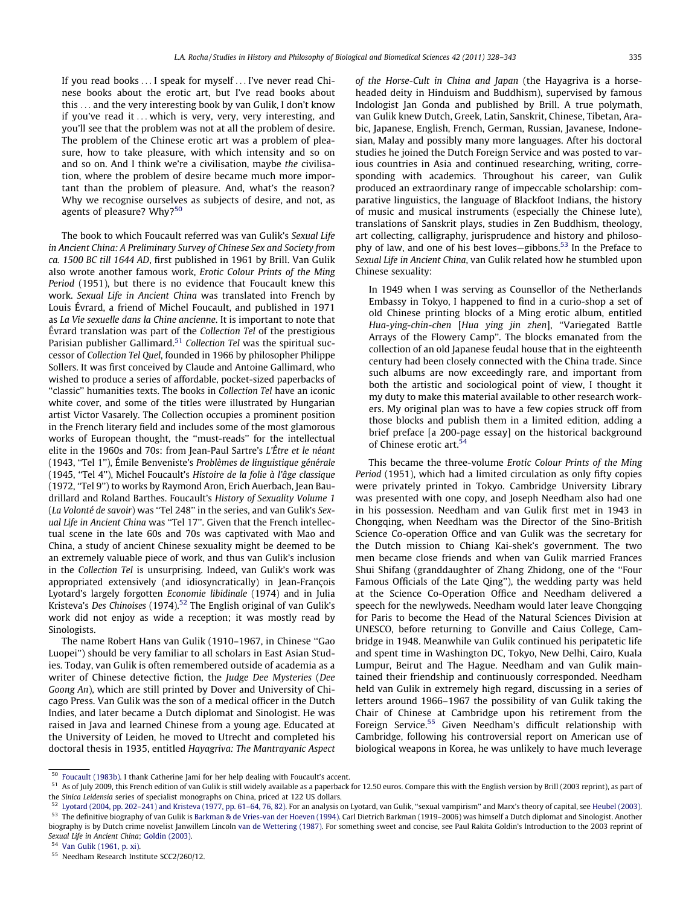If you read books ... I speak for myself ... I've never read Chinese books about the erotic art, but I've read books about this ... and the very interesting book by van Gulik, I don't know if you've read it ... which is very, very, very interesting, and you'll see that the problem was not at all the problem of desire. The problem of the Chinese erotic art was a problem of pleasure, how to take pleasure, with which intensity and so on and so on. And I think we're a civilisation, maybe the civilisation, where the problem of desire became much more important than the problem of pleasure. And, what's the reason? Why we recognise ourselves as subjects of desire, and not, as agents of pleasure? Why?<sup>50</sup>

The book to which Foucault referred was van Gulik's Sexual Life in Ancient China: A Preliminary Survey of Chinese Sex and Society from ca. 1500 BC till 1644 AD, first published in 1961 by Brill. Van Gulik also wrote another famous work, Erotic Colour Prints of the Ming Period (1951), but there is no evidence that Foucault knew this work. Sexual Life in Ancient China was translated into French by Louis Évrard, a friend of Michel Foucault, and published in 1971 as La Vie sexuelle dans la Chine ancienne. It is important to note that Évrard translation was part of the Collection Tel of the prestigious Parisian publisher Gallimard.<sup>51</sup> Collection Tel was the spiritual successor of Collection Tel Quel, founded in 1966 by philosopher Philippe Sollers. It was first conceived by Claude and Antoine Gallimard, who wished to produce a series of affordable, pocket-sized paperbacks of ''classic'' humanities texts. The books in Collection Tel have an iconic white cover, and some of the titles were illustrated by Hungarian artist Victor Vasarely. The Collection occupies a prominent position in the French literary field and includes some of the most glamorous works of European thought, the ''must-reads'' for the intellectual elite in the 1960s and 70s: from Jean-Paul Sartre's L'Être et le néant (1943, ''Tel 1''), Émile Benveniste's Problèmes de linguistique générale (1945, ''Tel 4''), Michel Foucault's Histoire de la folie à l'âge classique (1972, ''Tel 9'') to works by Raymond Aron, Erich Auerbach, Jean Baudrillard and Roland Barthes. Foucault's History of Sexuality Volume 1 (La Volonté de savoir) was ''Tel 248'' in the series, and van Gulik's Sexual Life in Ancient China was ''Tel 17''. Given that the French intellectual scene in the late 60s and 70s was captivated with Mao and China, a study of ancient Chinese sexuality might be deemed to be an extremely valuable piece of work, and thus van Gulik's inclusion in the Collection Tel is unsurprising. Indeed, van Gulik's work was appropriated extensively (and idiosyncratically) in Jean-François Lyotard's largely forgotten Economie libidinale (1974) and in Julia Kristeva's Des Chinoises (1974).<sup>52</sup> The English original of van Gulik's work did not enjoy as wide a reception; it was mostly read by Sinologists.

The name Robert Hans van Gulik (1910–1967, in Chinese ''Gao Luopei'') should be very familiar to all scholars in East Asian Studies. Today, van Gulik is often remembered outside of academia as a writer of Chinese detective fiction, the Judge Dee Mysteries (Dee Goong An), which are still printed by Dover and University of Chicago Press. Van Gulik was the son of a medical officer in the Dutch Indies, and later became a Dutch diplomat and Sinologist. He was raised in Java and learned Chinese from a young age. Educated at the University of Leiden, he moved to Utrecht and completed his doctoral thesis in 1935, entitled Hayagriva: The Mantrayanic Aspect of the Horse-Cult in China and Japan (the Hayagriva is a horseheaded deity in Hinduism and Buddhism), supervised by famous Indologist Jan Gonda and published by Brill. A true polymath, van Gulik knew Dutch, Greek, Latin, Sanskrit, Chinese, Tibetan, Arabic, Japanese, English, French, German, Russian, Javanese, Indonesian, Malay and possibly many more languages. After his doctoral studies he joined the Dutch Foreign Service and was posted to various countries in Asia and continued researching, writing, corresponding with academics. Throughout his career, van Gulik produced an extraordinary range of impeccable scholarship: comparative linguistics, the language of Blackfoot Indians, the history of music and musical instruments (especially the Chinese lute), translations of Sanskrit plays, studies in Zen Buddhism, theology, art collecting, calligraphy, jurisprudence and history and philosophy of law, and one of his best loves-gibbons.<sup>53</sup> In the Preface to Sexual Life in Ancient China, van Gulik related how he stumbled upon Chinese sexuality:

In 1949 when I was serving as Counsellor of the Netherlands Embassy in Tokyo, I happened to find in a curio-shop a set of old Chinese printing blocks of a Ming erotic album, entitled Hua-ying-chin-chen [Hua ying jin zhen], ''Variegated Battle Arrays of the Flowery Camp''. The blocks emanated from the collection of an old Japanese feudal house that in the eighteenth century had been closely connected with the China trade. Since such albums are now exceedingly rare, and important from both the artistic and sociological point of view, I thought it my duty to make this material available to other research workers. My original plan was to have a few copies struck off from those blocks and publish them in a limited edition, adding a brief preface [a 200-page essay] on the historical background of Chinese erotic art.<sup>54</sup>

This became the three-volume Erotic Colour Prints of the Ming Period (1951), which had a limited circulation as only fifty copies were privately printed in Tokyo. Cambridge University Library was presented with one copy, and Joseph Needham also had one in his possession. Needham and van Gulik first met in 1943 in Chongqing, when Needham was the Director of the Sino-British Science Co-operation Office and van Gulik was the secretary for the Dutch mission to Chiang Kai-shek's government. The two men became close friends and when van Gulik married Frances Shui Shifang (granddaughter of Zhang Zhidong, one of the ''Four Famous Officials of the Late Qing''), the wedding party was held at the Science Co-Operation Office and Needham delivered a speech for the newlyweds. Needham would later leave Chongqing for Paris to become the Head of the Natural Sciences Division at UNESCO, before returning to Gonville and Caius College, Cambridge in 1948. Meanwhile van Gulik continued his peripatetic life and spent time in Washington DC, Tokyo, New Delhi, Cairo, Kuala Lumpur, Beirut and The Hague. Needham and van Gulik maintained their friendship and continuously corresponded. Needham held van Gulik in extremely high regard, discussing in a series of letters around 1966–1967 the possibility of van Gulik taking the Chair of Chinese at Cambridge upon his retirement from the Foreign Service.<sup>55</sup> Given Needham's difficult relationship with Cambridge, following his controversial report on American use of biological weapons in Korea, he was unlikely to have much leverage

<sup>50</sup> [Foucault \(1983b\)](#page-13-0). I thank Catherine Jami for her help dealing with Foucault's accent.

<sup>51</sup> As of July 2009, this French edition of van Gulik is still widely available as a paperback for 12.50 euros. Compare this with the English version by Brill (2003 reprint), as part of the Sinica Leidensia series of specialist monographs on China, priced at 122 US dollars.

<sup>52</sup> Lyotard (2004, pp. 202-241) and Kristeva (1977, pp. 61-64, 76, 82). For an analysis on Lyotard, van Gulik, "sexual vampirism" and Marx's theory of capital, see [Heubel \(2003\)](#page-14-0). 53 The definitive biography of van Gulik is [Barkman & de Vries-van der Hoeven \(1994\).](#page-13-0) Carl Dietrich Barkman (1919-2006) was himself a Dutch diplomat and Sinologist. Another biography is by Dutch crime novelist Janwillem Lincoln [van de Wettering \(1987\).](#page-14-0) For something sweet and concise, see Paul Rakita Goldin's Introduction to the 2003 reprint of Sexual Life in Ancient China; [Goldin \(2003\)](#page-14-0).

<sup>54</sup> [Van Gulik \(1961, p. xi\).](#page-15-0)

<sup>55</sup> Needham Research Institute SCC2/260/12.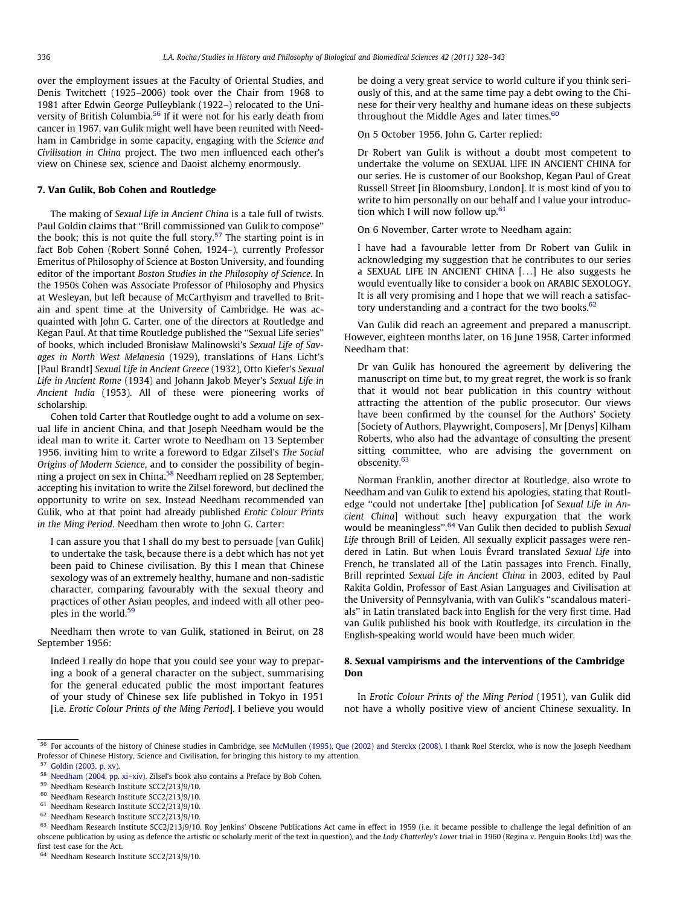over the employment issues at the Faculty of Oriental Studies, and Denis Twitchett (1925–2006) took over the Chair from 1968 to 1981 after Edwin George Pulleyblank (1922–) relocated to the University of British Columbia.<sup>56</sup> If it were not for his early death from cancer in 1967, van Gulik might well have been reunited with Needham in Cambridge in some capacity, engaging with the Science and Civilisation in China project. The two men influenced each other's view on Chinese sex, science and Daoist alchemy enormously.

## 7. Van Gulik, Bob Cohen and Routledge

The making of Sexual Life in Ancient China is a tale full of twists. Paul Goldin claims that ''Brill commissioned van Gulik to compose'' the book; this is not quite the full story. $57$  The starting point is in fact Bob Cohen (Robert Sonné Cohen, 1924–), currently Professor Emeritus of Philosophy of Science at Boston University, and founding editor of the important Boston Studies in the Philosophy of Science. In the 1950s Cohen was Associate Professor of Philosophy and Physics at Wesleyan, but left because of McCarthyism and travelled to Britain and spent time at the University of Cambridge. He was acquainted with John G. Carter, one of the directors at Routledge and Kegan Paul. At that time Routledge published the ''Sexual Life series'' of books, which included Bronisław Malinowski's Sexual Life of Savages in North West Melanesia (1929), translations of Hans Licht's [Paul Brandt] Sexual Life in Ancient Greece (1932), Otto Kiefer's Sexual Life in Ancient Rome (1934) and Johann Jakob Meyer's Sexual Life in Ancient India (1953). All of these were pioneering works of scholarship.

Cohen told Carter that Routledge ought to add a volume on sexual life in ancient China, and that Joseph Needham would be the ideal man to write it. Carter wrote to Needham on 13 September 1956, inviting him to write a foreword to Edgar Zilsel's The Social Origins of Modern Science, and to consider the possibility of beginning a project on sex in China.<sup>58</sup> Needham replied on 28 September, accepting his invitation to write the Zilsel foreword, but declined the opportunity to write on sex. Instead Needham recommended van Gulik, who at that point had already published Erotic Colour Prints in the Ming Period. Needham then wrote to John G. Carter:

I can assure you that I shall do my best to persuade [van Gulik] to undertake the task, because there is a debt which has not yet been paid to Chinese civilisation. By this I mean that Chinese sexology was of an extremely healthy, humane and non-sadistic character, comparing favourably with the sexual theory and practices of other Asian peoples, and indeed with all other peoples in the world.<sup>59</sup>

Needham then wrote to van Gulik, stationed in Beirut, on 28 September 1956:

Indeed I really do hope that you could see your way to preparing a book of a general character on the subject, summarising for the general educated public the most important features of your study of Chinese sex life published in Tokyo in 1951 [i.e. Erotic Colour Prints of the Ming Period]. I believe you would be doing a very great service to world culture if you think seriously of this, and at the same time pay a debt owing to the Chinese for their very healthy and humane ideas on these subjects throughout the Middle Ages and later times.<sup>60</sup>

On 5 October 1956, John G. Carter replied:

Dr Robert van Gulik is without a doubt most competent to undertake the volume on SEXUAL LIFE IN ANCIENT CHINA for our series. He is customer of our Bookshop, Kegan Paul of Great Russell Street [in Bloomsbury, London]. It is most kind of you to write to him personally on our behalf and I value your introduction which I will now follow up.<sup>61</sup>

On 6 November, Carter wrote to Needham again:

I have had a favourable letter from Dr Robert van Gulik in acknowledging my suggestion that he contributes to our series a SEXUAL LIFE IN ANCIENT CHINA [...] He also suggests he would eventually like to consider a book on ARABIC SEXOLOGY. It is all very promising and I hope that we will reach a satisfactory understanding and a contract for the two books. $62$ 

Van Gulik did reach an agreement and prepared a manuscript. However, eighteen months later, on 16 June 1958, Carter informed Needham that:

Dr van Gulik has honoured the agreement by delivering the manuscript on time but, to my great regret, the work is so frank that it would not bear publication in this country without attracting the attention of the public prosecutor. Our views have been confirmed by the counsel for the Authors' Society [Society of Authors, Playwright, Composers], Mr [Denys] Kilham Roberts, who also had the advantage of consulting the present sitting committee, who are advising the government on obscenity.<sup>63</sup>

Norman Franklin, another director at Routledge, also wrote to Needham and van Gulik to extend his apologies, stating that Routledge ''could not undertake [the] publication [of Sexual Life in Ancient China] without such heavy expurgation that the work would be meaningless''.64 Van Gulik then decided to publish Sexual Life through Brill of Leiden. All sexually explicit passages were rendered in Latin. But when Louis Évrard translated Sexual Life into French, he translated all of the Latin passages into French. Finally, Brill reprinted Sexual Life in Ancient China in 2003, edited by Paul Rakita Goldin, Professor of East Asian Languages and Civilisation at the University of Pennsylvania, with van Gulik's ''scandalous materials'' in Latin translated back into English for the very first time. Had van Gulik published his book with Routledge, its circulation in the English-speaking world would have been much wider.

# 8. Sexual vampirisms and the interventions of the Cambridge Don

In Erotic Colour Prints of the Ming Period (1951), van Gulik did not have a wholly positive view of ancient Chinese sexuality. In

<sup>56</sup> For accounts of the history of Chinese studies in Cambridge, see [McMullen \(1995\), Que \(2002\) and Sterckx \(2008\)](#page-14-0). I thank Roel Sterckx, who is now the Joseph Needham Professor of Chinese History, Science and Civilisation, for bringing this history to my attention.

[Goldin \(2003, p. xv\).](#page-14-0)

<sup>58</sup> [Needham \(2004, pp. xi–xiv\)](#page-14-0). Zilsel's book also contains a Preface by Bob Cohen.

<sup>59</sup> Needham Research Institute SCC2/213/9/10.

<sup>60</sup> Needham Research Institute SCC2/213/9/10.

<sup>61</sup> Needham Research Institute SCC2/213/9/10.

 $62$  Needham Research Institute SCC2/213/9/10.<br> $63$  Needham Besearch Institute SCC2/213/0/10.

Needham Research Institute SCC2/213/9/10. Roy Jenkins' Obscene Publications Act came in effect in 1959 (i.e. it became possible to challenge the legal definition of an obscene publication by using as defence the artistic or scholarly merit of the text in question), and the Lady Chatterley's Lover trial in 1960 (Regina v. Penguin Books Ltd) was the first test case for the Act.

<sup>&</sup>lt;sup>64</sup> Needham Research Institute SCC2/213/9/10.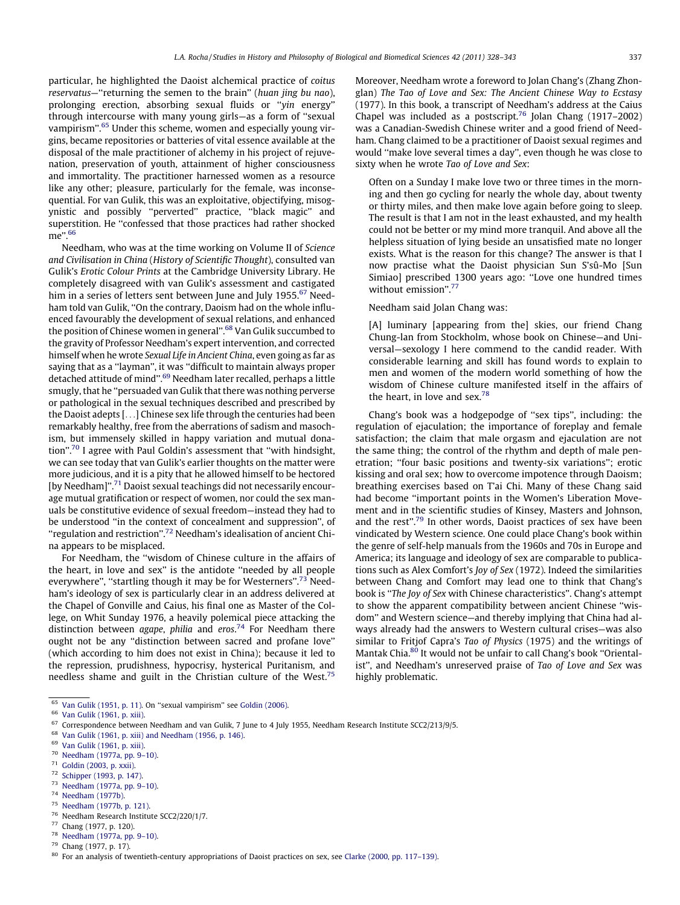particular, he highlighted the Daoist alchemical practice of coitus reservatus—''returning the semen to the brain'' (huan jing bu nao), prolonging erection, absorbing sexual fluids or ''yin energy'' through intercourse with many young girls—as a form of ''sexual vampirism''.65 Under this scheme, women and especially young virgins, became repositories or batteries of vital essence available at the disposal of the male practitioner of alchemy in his project of rejuvenation, preservation of youth, attainment of higher consciousness and immortality. The practitioner harnessed women as a resource like any other; pleasure, particularly for the female, was inconsequential. For van Gulik, this was an exploitative, objectifying, misogynistic and possibly ''perverted'' practice, ''black magic'' and superstition. He ''confessed that those practices had rather shocked me''.66

Needham, who was at the time working on Volume II of Science and Civilisation in China (History of Scientific Thought), consulted van Gulik's Erotic Colour Prints at the Cambridge University Library. He completely disagreed with van Gulik's assessment and castigated him in a series of letters sent between June and July 1955.<sup>67</sup> Needham told van Gulik, ''On the contrary, Daoism had on the whole influenced favourably the development of sexual relations, and enhanced the position of Chinese women in general".<sup>68</sup> Van Gulik succumbed to the gravity of Professor Needham's expert intervention, and corrected himself when he wrote Sexual Life in Ancient China, even going as far as saying that as a ''layman'', it was ''difficult to maintain always proper detached attitude of mind''.69 Needham later recalled, perhaps a little smugly, that he ''persuaded van Gulik that there was nothing perverse or pathological in the sexual techniques described and prescribed by the Daoist adepts [...] Chinese sex life through the centuries had been remarkably healthy, free from the aberrations of sadism and masochism, but immensely skilled in happy variation and mutual donation''.70 I agree with Paul Goldin's assessment that ''with hindsight, we can see today that van Gulik's earlier thoughts on the matter were more judicious, and it is a pity that he allowed himself to be hectored [by Needham]".<sup>71</sup> Daoist sexual teachings did not necessarily encourage mutual gratification or respect of women, nor could the sex manuals be constitutive evidence of sexual freedom—instead they had to be understood ''in the context of concealment and suppression'', of ''regulation and restriction''.72 Needham's idealisation of ancient China appears to be misplaced.

For Needham, the ''wisdom of Chinese culture in the affairs of the heart, in love and sex'' is the antidote ''needed by all people everywhere", "startling though it may be for Westerners".<sup>73</sup> Needham's ideology of sex is particularly clear in an address delivered at the Chapel of Gonville and Caius, his final one as Master of the College, on Whit Sunday 1976, a heavily polemical piece attacking the distinction between agape, philia and eros.<sup>74</sup> For Needham there ought not be any ''distinction between sacred and profane love'' (which according to him does not exist in China); because it led to the repression, prudishness, hypocrisy, hysterical Puritanism, and needless shame and guilt in the Christian culture of the West.<sup>75</sup>

Moreover, Needham wrote a foreword to Jolan Chang's (Zhang Zhonglan) The Tao of Love and Sex: The Ancient Chinese Way to Ecstasy (1977). In this book, a transcript of Needham's address at the Caius Chapel was included as a postscript.<sup>76</sup> Jolan Chang (1917–2002) was a Canadian-Swedish Chinese writer and a good friend of Needham. Chang claimed to be a practitioner of Daoist sexual regimes and would ''make love several times a day'', even though he was close to sixty when he wrote Tao of Love and Sex:

Often on a Sunday I make love two or three times in the morning and then go cycling for nearly the whole day, about twenty or thirty miles, and then make love again before going to sleep. The result is that I am not in the least exhausted, and my health could not be better or my mind more tranquil. And above all the helpless situation of lying beside an unsatisfied mate no longer exists. What is the reason for this change? The answer is that I now practise what the Daoist physician Sun S'sû-Mo [Sun Simiao] prescribed 1300 years ago: ''Love one hundred times without emission".<sup>77</sup>

Needham said Jolan Chang was:

[A] luminary [appearing from the] skies, our friend Chang Chung-lan from Stockholm, whose book on Chinese—and Universal—sexology I here commend to the candid reader. With considerable learning and skill has found words to explain to men and women of the modern world something of how the wisdom of Chinese culture manifested itself in the affairs of the heart, in love and sex.<sup>78</sup>

Chang's book was a hodgepodge of ''sex tips'', including: the regulation of ejaculation; the importance of foreplay and female satisfaction; the claim that male orgasm and ejaculation are not the same thing; the control of the rhythm and depth of male penetration; ''four basic positions and twenty-six variations''; erotic kissing and oral sex; how to overcome impotence through Daoism; breathing exercises based on T'ai Chi. Many of these Chang said had become "important points in the Women's Liberation Movement and in the scientific studies of Kinsey, Masters and Johnson, and the rest".<sup>79</sup> In other words. Daoist practices of sex have been vindicated by Western science. One could place Chang's book within the genre of self-help manuals from the 1960s and 70s in Europe and America; its language and ideology of sex are comparable to publications such as Alex Comfort's Joy of Sex (1972). Indeed the similarities between Chang and Comfort may lead one to think that Chang's book is ''The Joy of Sex with Chinese characteristics''. Chang's attempt to show the apparent compatibility between ancient Chinese ''wisdom'' and Western science—and thereby implying that China had always already had the answers to Western cultural crises—was also similar to Fritjof Capra's Tao of Physics (1975) and the writings of Mantak Chia.80 It would not be unfair to call Chang's book ''Orientalist", and Needham's unreserved praise of Tao of Love and Sex was highly problematic.

- $^{74}$  [Needham \(1977b\)](#page-14-0).
- $^{75}$  [Needham \(1977b, p. 121\)](#page-14-0).<br> $^{76}$  Needham Research Institu
- <sup>76</sup> Needham Research Institute SCC2/220/1/7.<br><sup>77</sup> Chang (1977, p. 120)

- [Needham \(1977a, pp. 9–10\)](#page-14-0).
- <sup>79</sup> Chang (1977, p. 17).
- <sup>80</sup> For an analysis of twentieth-century appropriations of Daoist practices on sex, see [Clarke \(2000, pp. 117–139\)](#page-13-0).

<sup>65</sup> [Van Gulik \(1951, p. 11\).](#page-15-0) On ''sexual vampirism'' see [Goldin \(2006\).](#page-14-0)

 $^{66}$  [Van Gulik \(1961, p. xiii\).](#page-15-0)

<sup>67</sup> Correspondence between Needham and van Gulik, 7 June to 4 July 1955, Needham Research Institute SCC2/213/9/5.

<sup>68</sup> [Van Gulik \(1961, p. xiii\) and Needham \(1956, p. 146\)](#page-15-0).

<sup>69</sup> [Van Gulik \(1961, p. xiii\).](#page-15-0)

Needham (1977a, pp. 9-10).

 $^{71}$  [Goldin \(2003, p. xxii\).](#page-14-0)<br> $^{72}$  Schipper (1003, p. 14)

 $72$  [Schipper \(1993, p. 147\).](#page-14-0)<br> $73$  Needbam (1977a, pp. 9.

<sup>&</sup>lt;sup>73</sup> [Needham \(1977a, pp. 9–10\)](#page-14-0).<br><sup>74</sup> Needham (1977b).

 $77$  Chang (1977, p. 120).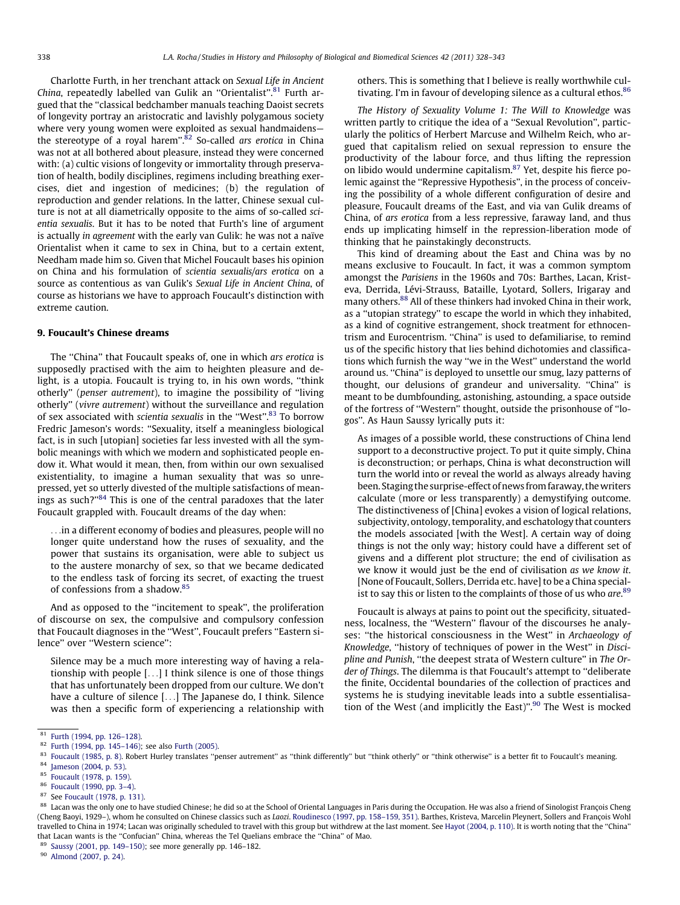Charlotte Furth, in her trenchant attack on Sexual Life in Ancient China, repeatedly labelled van Gulik an "Orientalist".<sup>81</sup> Furth argued that the ''classical bedchamber manuals teaching Daoist secrets of longevity portray an aristocratic and lavishly polygamous society where very young women were exploited as sexual handmaidens the stereotype of a royal harem". ${}^{82}$  So-called ars erotica in China was not at all bothered about pleasure, instead they were concerned with: (a) cultic visions of longevity or immortality through preservation of health, bodily disciplines, regimens including breathing exercises, diet and ingestion of medicines; (b) the regulation of reproduction and gender relations. In the latter, Chinese sexual culture is not at all diametrically opposite to the aims of so-called scientia sexualis. But it has to be noted that Furth's line of argument is actually in agreement with the early van Gulik: he was not a naïve Orientalist when it came to sex in China, but to a certain extent, Needham made him so. Given that Michel Foucault bases his opinion on China and his formulation of scientia sexualis/ars erotica on a source as contentious as van Gulik's Sexual Life in Ancient China, of course as historians we have to approach Foucault's distinction with extreme caution.

# 9. Foucault's Chinese dreams

The "China" that Foucault speaks of, one in which ars erotica is supposedly practised with the aim to heighten pleasure and delight, is a utopia. Foucault is trying to, in his own words, ''think otherly'' (penser autrement), to imagine the possibility of ''living otherly'' (vivre autrement) without the surveillance and regulation of sex associated with scientia sexualis in the ''West''.83 To borrow Fredric Jameson's words: ''Sexuality, itself a meaningless biological fact, is in such [utopian] societies far less invested with all the symbolic meanings with which we modern and sophisticated people endow it. What would it mean, then, from within our own sexualised existentiality, to imagine a human sexuality that was so unrepressed, yet so utterly divested of the multiple satisfactions of meanings as such?"<sup>84</sup> This is one of the central paradoxes that the later Foucault grappled with. Foucault dreams of the day when:

...in a different economy of bodies and pleasures, people will no longer quite understand how the ruses of sexuality, and the power that sustains its organisation, were able to subject us to the austere monarchy of sex, so that we became dedicated to the endless task of forcing its secret, of exacting the truest of confessions from a shadow.85

And as opposed to the ''incitement to speak'', the proliferation of discourse on sex, the compulsive and compulsory confession that Foucault diagnoses in the ''West'', Foucault prefers ''Eastern silence'' over ''Western science'':

Silence may be a much more interesting way of having a relationship with people [...] I think silence is one of those things that has unfortunately been dropped from our culture. We don't have a culture of silence [...] The Japanese do, I think. Silence was then a specific form of experiencing a relationship with others. This is something that I believe is really worthwhile cultivating. I'm in favour of developing silence as a cultural ethos.<sup>86</sup>

The History of Sexuality Volume 1: The Will to Knowledge was written partly to critique the idea of a ''Sexual Revolution'', particularly the politics of Herbert Marcuse and Wilhelm Reich, who argued that capitalism relied on sexual repression to ensure the productivity of the labour force, and thus lifting the repression on libido would undermine capitalism.87 Yet, despite his fierce polemic against the ''Repressive Hypothesis'', in the process of conceiving the possibility of a whole different configuration of desire and pleasure, Foucault dreams of the East, and via van Gulik dreams of China, of ars erotica from a less repressive, faraway land, and thus ends up implicating himself in the repression-liberation mode of thinking that he painstakingly deconstructs.

This kind of dreaming about the East and China was by no means exclusive to Foucault. In fact, it was a common symptom amongst the Parisiens in the 1960s and 70s: Barthes, Lacan, Kristeva, Derrida, Lévi-Strauss, Bataille, Lyotard, Sollers, Irigaray and many others.88 All of these thinkers had invoked China in their work, as a ''utopian strategy'' to escape the world in which they inhabited, as a kind of cognitive estrangement, shock treatment for ethnocentrism and Eurocentrism. ''China'' is used to defamiliarise, to remind us of the specific history that lies behind dichotomies and classifications which furnish the way ''we in the West'' understand the world around us. ''China'' is deployed to unsettle our smug, lazy patterns of thought, our delusions of grandeur and universality. ''China'' is meant to be dumbfounding, astonishing, astounding, a space outside of the fortress of ''Western'' thought, outside the prisonhouse of ''logos''. As Haun Saussy lyrically puts it:

As images of a possible world, these constructions of China lend support to a deconstructive project. To put it quite simply, China is deconstruction; or perhaps, China is what deconstruction will turn the world into or reveal the world as always already having been. Staging the surprise-effect of news from faraway, the writers calculate (more or less transparently) a demystifying outcome. The distinctiveness of [China] evokes a vision of logical relations, subjectivity, ontology, temporality, and eschatology that counters the models associated [with the West]. A certain way of doing things is not the only way; history could have a different set of givens and a different plot structure; the end of civilisation as we know it would just be the end of civilisation as we know it. [None of Foucault, Sollers, Derrida etc. have] to be a China specialist to say this or listen to the complaints of those of us who are.<sup>89</sup>

Foucault is always at pains to point out the specificity, situatedness, localness, the ''Western'' flavour of the discourses he analyses: "the historical consciousness in the West" in Archaeology of Knowledge, ''history of techniques of power in the West'' in Discipline and Punish, ''the deepest strata of Western culture'' in The Order of Things. The dilemma is that Foucault's attempt to ''deliberate the finite, Occidental boundaries of the collection of practices and systems he is studying inevitable leads into a subtle essentialisation of the West (and implicitly the East)".<sup>90</sup> The West is mocked

<sup>90</sup> [Almond \(2007, p. 24\).](#page-13-0)

<sup>81</sup> [Furth \(1994, pp. 126–128\)](#page-14-0).

<sup>82</sup> [Furth \(1994, pp. 145–146\)](#page-14-0); see also [Furth \(2005\).](#page-14-0)

<sup>83</sup> [Foucault \(1985, p. 8\)](#page-13-0). Robert Hurley translates "penser autrement" as "think differently" but "think otherly" or "think otherwise" is a better fit to Foucault's meaning.

 $\frac{84}{85}$  [Jameson \(2004, p. 53\).](#page-14-0)

 $85$  [Foucault \(1978, p. 159\).](#page-13-0)<br> $86$  Foucault (1900, pp. 3, 4)

 $86$  [Foucault \(1990, pp. 3–4\).](#page-13-0)

See [Foucault \(1978, p. 131\).](#page-13-0)

<sup>88</sup> Lacan was the only one to have studied Chinese; he did so at the School of Oriental Languages in Paris during the Occupation. He was also a friend of Sinologist François Cheng (Cheng Baoyi, 1929–), whom he consulted on Chinese classics such as Laozi. [Roudinesco \(1997, pp. 158–159, 351\).](#page-14-0) Barthes, Kristeva, Marcelin Pleynert, Sollers and François Wohl travelled to China in 1974; Lacan was originally scheduled to travel with this group but withdrew at the last moment. See [Hayot \(2004, p. 110\).](#page-14-0) It is worth noting that the ''China'' that Lacan wants is the ''Confucian'' China, whereas the Tel Quelians embrace the ''China'' of Mao.

<sup>89</sup> [Saussy \(2001, pp. 149–150\);](#page-14-0) see more generally pp. 146–182.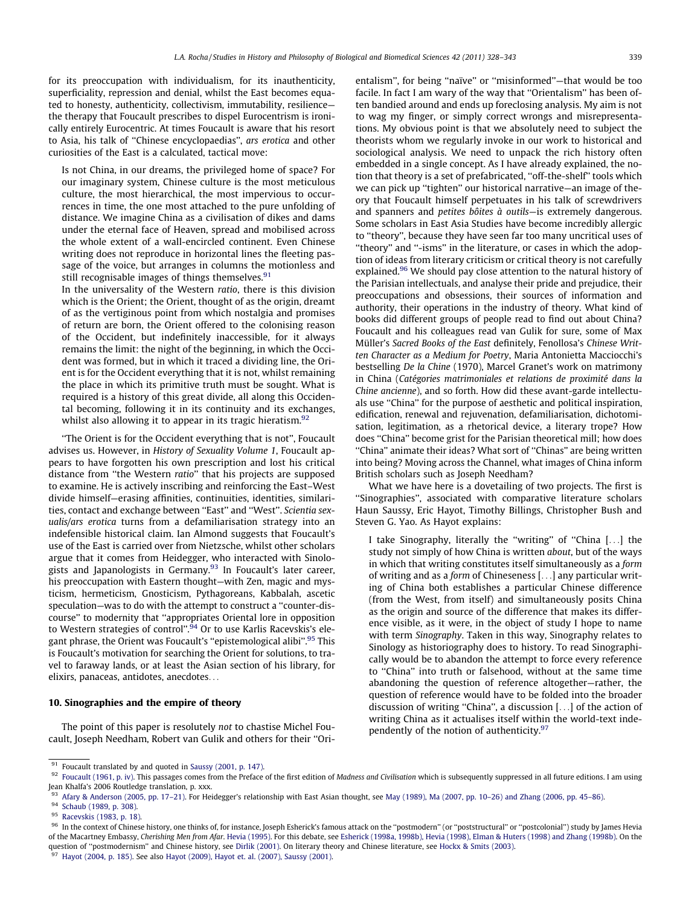for its preoccupation with individualism, for its inauthenticity, superficiality, repression and denial, whilst the East becomes equated to honesty, authenticity, collectivism, immutability, resilience the therapy that Foucault prescribes to dispel Eurocentrism is ironically entirely Eurocentric. At times Foucault is aware that his resort to Asia, his talk of ''Chinese encyclopaedias'', ars erotica and other curiosities of the East is a calculated, tactical move:

Is not China, in our dreams, the privileged home of space? For our imaginary system, Chinese culture is the most meticulous culture, the most hierarchical, the most impervious to occurrences in time, the one most attached to the pure unfolding of distance. We imagine China as a civilisation of dikes and dams under the eternal face of Heaven, spread and mobilised across the whole extent of a wall-encircled continent. Even Chinese writing does not reproduce in horizontal lines the fleeting passage of the voice, but arranges in columns the motionless and still recognisable images of things themselves.<sup>91</sup>

In the universality of the Western ratio, there is this division which is the Orient; the Orient, thought of as the origin, dreamt of as the vertiginous point from which nostalgia and promises of return are born, the Orient offered to the colonising reason of the Occident, but indefinitely inaccessible, for it always remains the limit: the night of the beginning, in which the Occident was formed, but in which it traced a dividing line, the Orient is for the Occident everything that it is not, whilst remaining the place in which its primitive truth must be sought. What is required is a history of this great divide, all along this Occidental becoming, following it in its continuity and its exchanges, whilst also allowing it to appear in its tragic hieratism.<sup>92</sup>

''The Orient is for the Occident everything that is not'', Foucault advises us. However, in History of Sexuality Volume 1, Foucault appears to have forgotten his own prescription and lost his critical distance from "the Western ratio" that his projects are supposed to examine. He is actively inscribing and reinforcing the East–West divide himself—erasing affinities, continuities, identities, similarities, contact and exchange between ''East'' and ''West''. Scientia sexualis/ars erotica turns from a defamiliarisation strategy into an indefensible historical claim. Ian Almond suggests that Foucault's use of the East is carried over from Nietzsche, whilst other scholars argue that it comes from Heidegger, who interacted with Sinologists and Japanologists in Germany. $93$  In Foucault's later career, his preoccupation with Eastern thought—with Zen, magic and mysticism, hermeticism, Gnosticism, Pythagoreans, Kabbalah, ascetic speculation—was to do with the attempt to construct a ''counter-discourse'' to modernity that ''appropriates Oriental lore in opposition to Western strategies of control".<sup>94</sup> Or to use Karlis Racevskis's elegant phrase, the Orient was Foucault's "epistemological alibi".<sup>95</sup> This is Foucault's motivation for searching the Orient for solutions, to travel to faraway lands, or at least the Asian section of his library, for elixirs, panaceas, antidotes, anecdotes...

# 10. Sinographies and the empire of theory

The point of this paper is resolutely not to chastise Michel Foucault, Joseph Needham, Robert van Gulik and others for their ''Orientalism'', for being ''naïve'' or ''misinformed''—that would be too facile. In fact I am wary of the way that ''Orientalism'' has been often bandied around and ends up foreclosing analysis. My aim is not to wag my finger, or simply correct wrongs and misrepresentations. My obvious point is that we absolutely need to subject the theorists whom we regularly invoke in our work to historical and sociological analysis. We need to unpack the rich history often embedded in a single concept. As I have already explained, the notion that theory is a set of prefabricated, ''off-the-shelf'' tools which we can pick up ''tighten'' our historical narrative—an image of theory that Foucault himself perpetuates in his talk of screwdrivers and spanners and petites bôites à outils—is extremely dangerous. Some scholars in East Asia Studies have become incredibly allergic to ''theory'', because they have seen far too many uncritical uses of ''theory'' and ''-isms'' in the literature, or cases in which the adoption of ideas from literary criticism or critical theory is not carefully explained.<sup>96</sup> We should pay close attention to the natural history of the Parisian intellectuals, and analyse their pride and prejudice, their preoccupations and obsessions, their sources of information and authority, their operations in the industry of theory. What kind of books did different groups of people read to find out about China? Foucault and his colleagues read van Gulik for sure, some of Max Müller's Sacred Books of the East definitely, Fenollosa's Chinese Written Character as a Medium for Poetry, Maria Antonietta Macciocchi's bestselling De la Chine (1970), Marcel Granet's work on matrimony in China (Catégories matrimoniales et relations de proximité dans la Chine ancienne), and so forth. How did these avant-garde intellectuals use ''China'' for the purpose of aesthetic and political inspiration, edification, renewal and rejuvenation, defamiliarisation, dichotomisation, legitimation, as a rhetorical device, a literary trope? How does ''China'' become grist for the Parisian theoretical mill; how does ''China'' animate their ideas? What sort of ''Chinas'' are being written into being? Moving across the Channel, what images of China inform British scholars such as Joseph Needham?

What we have here is a dovetailing of two projects. The first is ''Sinographies'', associated with comparative literature scholars Haun Saussy, Eric Hayot, Timothy Billings, Christopher Bush and Steven G. Yao. As Hayot explains:

I take Sinography, literally the ''writing'' of ''China [...] the study not simply of how China is written about, but of the ways in which that writing constitutes itself simultaneously as a form of writing and as a form of Chineseness [...] any particular writing of China both establishes a particular Chinese difference (from the West, from itself) and simultaneously posits China as the origin and source of the difference that makes its difference visible, as it were, in the object of study I hope to name with term Sinography. Taken in this way, Sinography relates to Sinology as historiography does to history. To read Sinographically would be to abandon the attempt to force every reference to ''China'' into truth or falsehood, without at the same time abandoning the question of reference altogether—rather, the question of reference would have to be folded into the broader discussion of writing "China", a discussion [...] of the action of writing China as it actualises itself within the world-text independently of the notion of authenticity.<sup>97</sup>

<sup>94</sup> [Schaub \(1989, p. 308\)](#page-14-0).

<sup>&</sup>lt;sup>91</sup> Foucault translated by and quoted in [Saussy \(2001, p. 147\)](#page-14-0).

<sup>92</sup> [Foucault \(1961, p. iv\).](#page-13-0) This passages comes from the Preface of the first edition of Madness and Civilisation which is subsequently suppressed in all future editions. I am using Jean Khalfa's 2006 Routledge translation, p. xxx.

 $93$  Afary & Anderson (2005, pp. 17-21). For Heidegger's relationship with East Asian thought, see May (1989), Ma (2007, pp. 10-26) and Zhang (2006, pp. 45-86).

<sup>95</sup> [Racevskis \(1983, p. 18\).](#page-14-0)

<sup>96</sup> In the context of Chinese history, one thinks of, for instance, Joseph Esherick's famous attack on the "postmodern" (or "poststructural" or "postcolonial") study by James Hevia of the Macartney Embassy, Cherishing Men from Afar. [Hevia \(1995\).](#page-14-0) For this debate, see [Esherick \(1998a, 1998b\), Hevia \(1998\), Elman & Huters \(1998\) and Zhang \(1998b\).](#page-13-0) On the question of ''postmodernism'' and Chinese history, see [Dirlik \(2001\).](#page-13-0) On literary theory and Chinese literature, see [Hockx & Smits \(2003\)](#page-14-0).

[Hayot \(2004, p. 185\).](#page-14-0) See also [Hayot \(2009\), Hayot et. al. \(2007\), Saussy \(2001\).](#page-14-0)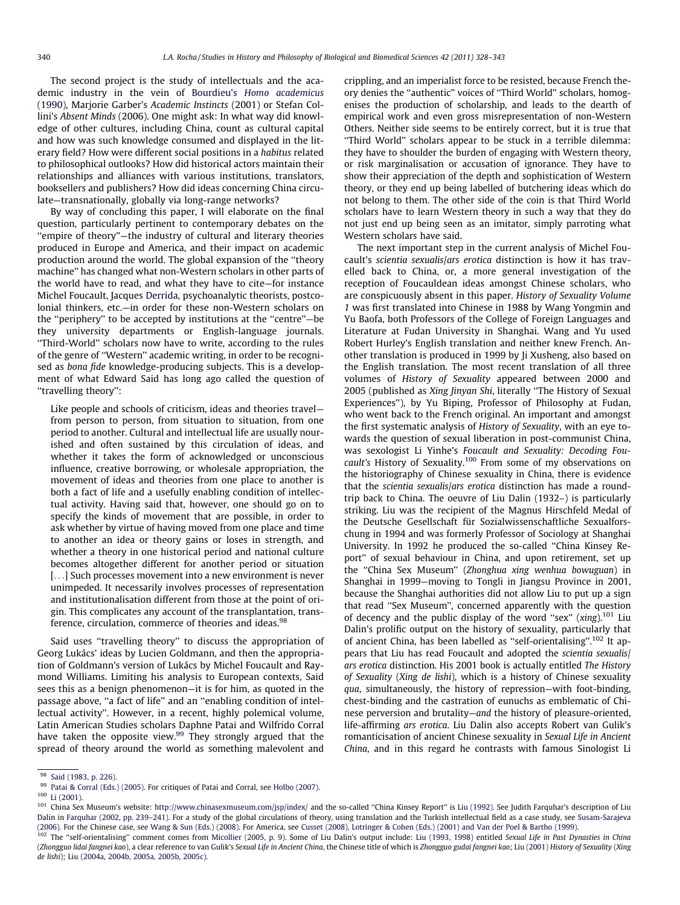The second project is the study of intellectuals and the academic industry in the vein of Bourdieu's [Homo academicus](#page-13-0) [\(1990\),](#page-13-0) Marjorie Garber's Academic Instincts (2001) or Stefan Collini's Absent Minds (2006). One might ask: In what way did knowledge of other cultures, including China, count as cultural capital and how was such knowledge consumed and displayed in the literary field? How were different social positions in a habitus related to philosophical outlooks? How did historical actors maintain their relationships and alliances with various institutions, translators, booksellers and publishers? How did ideas concerning China circulate—transnationally, globally via long-range networks?

By way of concluding this paper, I will elaborate on the final question, particularly pertinent to contemporary debates on the ''empire of theory''—the industry of cultural and literary theories produced in Europe and America, and their impact on academic production around the world. The global expansion of the ''theory machine'' has changed what non-Western scholars in other parts of the world have to read, and what they have to cite—for instance Michel Foucault, Jacques [Derrida,](#page-13-0) psychoanalytic theorists, postcolonial thinkers, etc.—in order for these non-Western scholars on the ''periphery'' to be accepted by institutions at the ''centre''—be they university departments or English-language journals. ''Third-World'' scholars now have to write, according to the rules of the genre of ''Western'' academic writing, in order to be recognised as bona fide knowledge-producing subjects. This is a development of what Edward Said has long ago called the question of ''travelling theory'':

Like people and schools of criticism, ideas and theories travel from person to person, from situation to situation, from one period to another. Cultural and intellectual life are usually nourished and often sustained by this circulation of ideas, and whether it takes the form of acknowledged or unconscious influence, creative borrowing, or wholesale appropriation, the movement of ideas and theories from one place to another is both a fact of life and a usefully enabling condition of intellectual activity. Having said that, however, one should go on to specify the kinds of movement that are possible, in order to ask whether by virtue of having moved from one place and time to another an idea or theory gains or loses in strength, and whether a theory in one historical period and national culture becomes altogether different for another period or situation [...] Such processes movement into a new environment is never unimpeded. It necessarily involves processes of representation and institutionalisation different from those at the point of origin. This complicates any account of the transplantation, transference, circulation, commerce of theories and ideas.<sup>98</sup>

Said uses ''travelling theory'' to discuss the appropriation of Georg Lukács' ideas by Lucien Goldmann, and then the appropriation of Goldmann's version of Lukács by Michel Foucault and Raymond Williams. Limiting his analysis to European contexts, Said sees this as a benign phenomenon—it is for him, as quoted in the passage above, "a fact of life" and an "enabling condition of intellectual activity''. However, in a recent, highly polemical volume, Latin American Studies scholars Daphne Patai and Wilfrido Corral have taken the opposite view.<sup>99</sup> They strongly argued that the spread of theory around the world as something malevolent and

crippling, and an imperialist force to be resisted, because French theory denies the ''authentic'' voices of ''Third World'' scholars, homogenises the production of scholarship, and leads to the dearth of empirical work and even gross misrepresentation of non-Western Others. Neither side seems to be entirely correct, but it is true that ''Third World'' scholars appear to be stuck in a terrible dilemma: they have to shoulder the burden of engaging with Western theory, or risk marginalisation or accusation of ignorance. They have to show their appreciation of the depth and sophistication of Western theory, or they end up being labelled of butchering ideas which do not belong to them. The other side of the coin is that Third World scholars have to learn Western theory in such a way that they do not just end up being seen as an imitator, simply parroting what Western scholars have said.

The next important step in the current analysis of Michel Foucault's scientia sexualis/ars erotica distinction is how it has travelled back to China, or, a more general investigation of the reception of Foucauldean ideas amongst Chinese scholars, who are conspicuously absent in this paper. History of Sexuality Volume 1 was first translated into Chinese in 1988 by Wang Yongmin and Yu Baofa, both Professors of the College of Foreign Languages and Literature at Fudan University in Shanghai. Wang and Yu used Robert Hurley's English translation and neither knew French. Another translation is produced in 1999 by Ji Xusheng, also based on the English translation. The most recent translation of all three volumes of History of Sexuality appeared between 2000 and 2005 (published as Xing Jinyan Shi, literally ''The History of Sexual Experiences''), by Yu Biping, Professor of Philosophy at Fudan, who went back to the French original. An important and amongst the first systematic analysis of History of Sexuality, with an eye towards the question of sexual liberation in post-communist China, was sexologist Li Yinhe's Foucault and Sexuality: Decoding Foucault's History of Sexuality.<sup>100</sup> From some of my observations on the historiography of Chinese sexuality in China, there is evidence that the scientia sexualis/ars erotica distinction has made a roundtrip back to China. The oeuvre of Liu Dalin (1932–) is particularly striking. Liu was the recipient of the Magnus Hirschfeld Medal of the Deutsche Gesellschaft für Sozialwissenschaftliche Sexualforschung in 1994 and was formerly Professor of Sociology at Shanghai University. In 1992 he produced the so-called ''China Kinsey Report'' of sexual behaviour in China, and upon retirement, set up the ''China Sex Museum'' (Zhonghua xing wenhua bowuguan) in Shanghai in 1999—moving to Tongli in Jiangsu Province in 2001, because the Shanghai authorities did not allow Liu to put up a sign that read ''Sex Museum'', concerned apparently with the question of decency and the public display of the word "sex"  $(xing).<sup>101</sup>$  Liu Dalin's prolific output on the history of sexuality, particularly that of ancient China, has been labelled as "self-orientalising".<sup>102</sup> It appears that Liu has read Foucault and adopted the scientia sexualis/ ars erotica distinction. His 2001 book is actually entitled The History of Sexuality (Xing de lishi), which is a history of Chinese sexuality qua, simultaneously, the history of repression—with foot-binding, chest-binding and the castration of eunuchs as emblematic of Chinese perversion and brutality—and the history of pleasure-oriented, life-affirming ars erotica. Liu Dalin also accepts Robert van Gulik's romanticisation of ancient Chinese sexuality in Sexual Life in Ancient China, and in this regard he contrasts with famous Sinologist Li

<sup>&</sup>lt;sup>98</sup> [Said \(1983, p. 226\).](#page-14-0)

<sup>99</sup> [Patai & Corral \(Eds.\) \(2005\).](#page-14-0) For critiques of Patai and Corral, see [Holbo \(2007\).](#page-14-0)

<sup>100</sup> [Li \(2001\)](#page-14-0).

<sup>101</sup> China Sex Museum's website: <http://www.chinasexmuseum.com/jsp/index/> and the so-called "China Kinsey Report" is [Liu \(1992\).](#page-14-0) See Judith Farquhar's description of Liu Dalin in [Farquhar \(2002, pp. 239–241\).](#page-13-0) For a study of the global circulations of theory, using translation and the Turkish intellectual field as a case study, see [Susam-Sarajeva](#page-14-0) [\(2006\)](#page-14-0). For the Chinese case, see [Wang & Sun \(Eds.\) \(2008\)](#page-15-0). For America, see [Cusset \(2008\), Lotringer & Cohen \(Eds.\) \(2001\) and Van der Poel & Bartho \(1999\).](#page-13-0)

<sup>&</sup>lt;sup>102</sup> The "self-orientalising" comment comes from [Micollier \(2005, p. 9\).](#page-14-0) Some of Liu Dalin's output include: [Liu \(1993, 1998\)](#page-14-0) entitled Sexual Life in Past Dynasties in China (Zhongguo lidai fangnei kao), a clear reference to van Gulik's Sexual Life in Ancient China, the Chinese title of which is Zhongguo gudai fangnei kao; [Liu \(2001\)](#page-14-0) History of Sexuality (Xing de lishi); [Liu \(2004a, 2004b, 2005a, 2005b, 2005c\).](#page-14-0)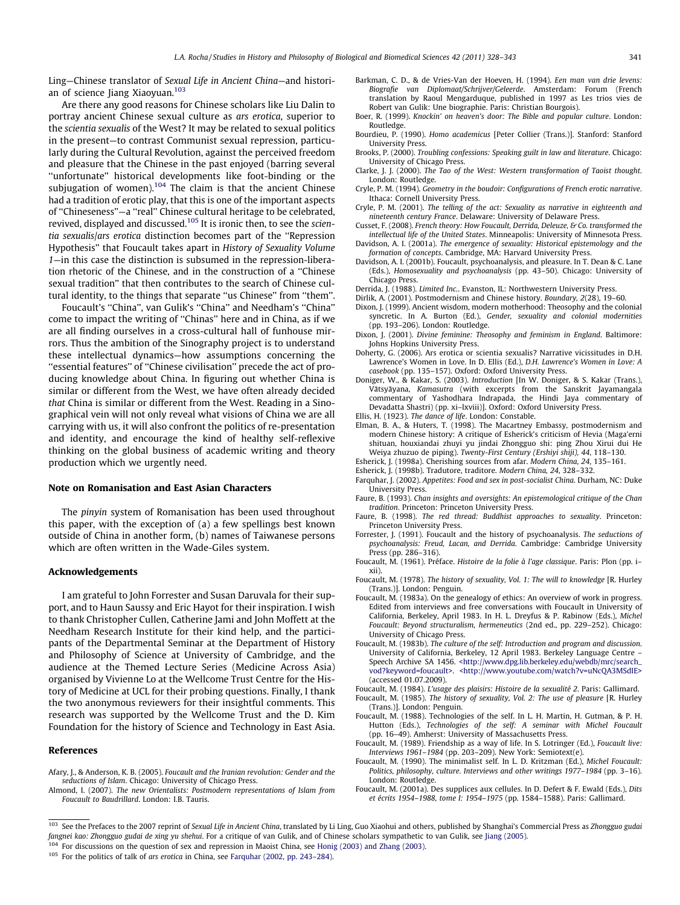<span id="page-13-0"></span>Ling—Chinese translator of Sexual Life in Ancient China—and historian of science Jiang Xiaoyuan. $103$ 

Are there any good reasons for Chinese scholars like Liu Dalin to portray ancient Chinese sexual culture as ars erotica, superior to the scientia sexualis of the West? It may be related to sexual politics in the present—to contrast Communist sexual repression, particularly during the Cultural Revolution, against the perceived freedom and pleasure that the Chinese in the past enjoyed (barring several ''unfortunate'' historical developments like foot-binding or the subjugation of women).<sup>104</sup> The claim is that the ancient Chinese had a tradition of erotic play, that this is one of the important aspects of ''Chineseness''—a ''real'' Chinese cultural heritage to be celebrated, revived, displayed and discussed.<sup>105</sup> It is ironic then, to see the scientia sexualis/ars erotica distinction becomes part of the ''Repression Hypothesis'' that Foucault takes apart in History of Sexuality Volume 1—in this case the distinction is subsumed in the repression-liberation rhetoric of the Chinese, and in the construction of a ''Chinese sexual tradition'' that then contributes to the search of Chinese cultural identity, to the things that separate "us Chinese" from "them".

Foucault's ''China'', van Gulik's ''China'' and Needham's ''China'' come to impact the writing of ''Chinas'' here and in China, as if we are all finding ourselves in a cross-cultural hall of funhouse mirrors. Thus the ambition of the Sinography project is to understand these intellectual dynamics—how assumptions concerning the ''essential features'' of ''Chinese civilisation'' precede the act of producing knowledge about China. In figuring out whether China is similar or different from the West, we have often already decided that China is similar or different from the West. Reading in a Sinographical vein will not only reveal what visions of China we are all carrying with us, it will also confront the politics of re-presentation and identity, and encourage the kind of healthy self-reflexive thinking on the global business of academic writing and theory production which we urgently need.

#### Note on Romanisation and East Asian Characters

The pinyin system of Romanisation has been used throughout this paper, with the exception of (a) a few spellings best known outside of China in another form, (b) names of Taiwanese persons which are often written in the Wade-Giles system.

#### Acknowledgements

I am grateful to John Forrester and Susan Daruvala for their support, and to Haun Saussy and Eric Hayot for their inspiration. I wish to thank Christopher Cullen, Catherine Jami and John Moffett at the Needham Research Institute for their kind help, and the participants of the Departmental Seminar at the Department of History and Philosophy of Science at University of Cambridge, and the audience at the Themed Lecture Series (Medicine Across Asia) organised by Vivienne Lo at the Wellcome Trust Centre for the History of Medicine at UCL for their probing questions. Finally, I thank the two anonymous reviewers for their insightful comments. This research was supported by the Wellcome Trust and the D. Kim Foundation for the history of Science and Technology in East Asia.

### References

- Afary, J., & Anderson, K. B. (2005). Foucault and the Iranian revolution: Gender and the seductions of Islam. Chicago: University of Chicago Press.
- Almond, I. (2007). The new Orientalists: Postmodern representations of Islam from Foucault to Baudrillard. London: I.B. Tauris.
- Barkman, C. D., & de Vries-Van der Hoeven, H. (1994). Een man van drie levens: Biografie van Diplomaat/Schrijver/Geleerde. Amsterdam: Forum (French translation by Raoul Mengarduque, published in 1997 as Les trios vies de Robert van Gulik: Une biographie. Paris: Christian Bourgois).
- Boer, R. (1999). Knockin' on heaven's door: The Bible and popular culture. London: Routledge.
- Bourdieu, P. (1990). Homo academicus [Peter Collier (Trans.)]. Stanford: Stanford University Press.
- Brooks, P. (2000). Troubling confessions: Speaking guilt in law and literature. Chicago: University of Chicago Press.
- Clarke, J. J. (2000). The Tao of the West: Western transformation of Taoist thought. London: Routledge.
- Cryle, P. M. (1994). Geometry in the boudoir: Configurations of French erotic narrative. Ithaca: Cornell University Press.
- Cryle, P. M. (2001). The telling of the act: Sexuality as narrative in eighteenth and nineteenth century France. Delaware: University of Delaware Press.
- Cusset, F. (2008). French theory: How Foucault, Derrida, Deleuze, & Co. transformed the intellectual life of the United States. Minneapolis: University of Minnesota Press. Davidson, A. I. (2001a). The emergence of sexuality: Historical epistemology and the
- formation of concepts. Cambridge, MA: Harvard University Press. Davidson, A. I. (2001b). Foucault, psychoanalysis, and pleasure. In T. Dean & C. Lane
- (Eds.), Homosexuality and psychoanalysis (pp. 43–50). Chicago: University of Chicago Press.
- Derrida, J. (1988). Limited Inc.. Evanston, IL: Northwestern University Press.
- Dirlik, A. (2001). Postmodernism and Chinese history. Boundary, 2(28), 19–60.
- Dixon, J. (1999). Ancient wisdom, modern motherhood: Theosophy and the colonial syncretic. In A. Burton (Ed.), Gender, sexuality and colonial modernities (pp. 193–206). London: Routledge.
- Dixon, J. (2001). Divine feminine: Theosophy and feminism in England. Baltimore: Johns Hopkins University Press.
- Doherty, G. (2006). Ars erotica or scientia sexualis? Narrative vicissitudes in D.H. Lawrence's Women in Love. In D. Ellis (Ed.), D.H. Lawrence's Women in Love: A casebook (pp. 135–157). Oxford: Oxford University Press.
- Doniger, W., & Kakar, S. (2003). Introduction [In W. Doniger, & S. Kakar (Trans.), Vātsyāyana, Kamasutra (with excerpts from the Sanskrit Jayamangala commentary of Yashodhara Indrapada, the Hindi Jaya commentary of Devadatta Shastri) (pp. xi–lxviii)]. Oxford: Oxford University Press.
- Ellis, H. (1923). The dance of life. London: Constable.
- Elman, B. A., & Huters, T. (1998). The Macartney Embassy, postmodernism and modern Chinese history: A critique of Esherick's criticism of Hevia (Maga'erni shituan, houxiandai zhuyi yu jindai Zhongguo shi: ping Zhou Xirui dui He Weiya zhuzuo de piping). Twenty-First Century (Ershiyi shiji), 44, 118–130.
- Esherick, J. (1998a). Cherishing sources from afar. Modern China, 24, 135–161.
- Esherick, J. (1998b). Tradutore, traditore. Modern China, 24, 328–332.
- Farquhar, J. (2002). Appetites: Food and sex in post-socialist China. Durham, NC: Duke University Press.
- Faure, B. (1993). Chan insights and oversights: An epistemological critique of the Chan tradition. Princeton: Princeton University Press.
- Faure, B. (1998). The red thread: Buddhist approaches to sexuality. Princeton: Princeton University Press.
- Forrester, J. (1991). Foucault and the history of psychoanalysis. The seductions of psychoanalysis: Freud, Lacan, and Derrida. Cambridge: Cambridge University Press (pp. 286–316).
- Foucault, M. (1961). Préface. Histoire de la folie à l'age classique. Paris: Plon (pp. i– xii).
- Foucault, M. (1978). The history of sexuality, Vol. 1: The will to knowledge [R. Hurley (Trans.)]. London: Penguin.
- Foucault, M. (1983a). On the genealogy of ethics: An overview of work in progress. Edited from interviews and free conversations with Foucault in University of California, Berkeley, April 1983. In H. L. Dreyfus & P. Rabinow (Eds.), Michel Foucault: Beyond structuralism, hermeneutics (2nd ed., pp. 229–252). Chicago: University of Chicago Press.
- Foucault, M. (1983b). The culture of the self: Introduction and program and discussion. University of California, Berkeley, 12 April 1983. Berkeley Language Centre – Speech Archive SA 1456. [<http://www.dpg.lib.berkeley.edu/webdb/mrc/search\\_](http://www.dpg.lib.berkeley.edu/webdb/mrc/search_vod?keyword=foucault) [vod?keyword=foucault>.](http://www.dpg.lib.berkeley.edu/webdb/mrc/search_vod?keyword=foucault) [<http://www.youtube.com/watch?v=uNcQA3MSdIE>](http://www.youtube.com/watch?v=uNcQA3MSdIE) (accessed 01.07.2009).
- Foucault, M. (1984). L'usage des plaisirs: Histoire de la sexualité 2. Paris: Gallimard.
- Foucault, M. (1985). The history of sexuality, Vol. 2: The use of pleasure [R. Hurley
- (Trans.)]. London: Penguin. Foucault, M. (1988). Technologies of the self. In L. H. Martin, H. Gutman, & P. H. Hutton (Eds.), Technologies of the self: A seminar with Michel Foucault (pp. 16–49). Amherst: University of Massachusetts Press.
- Foucault, M. (1989). Friendship as a way of life. In S. Lotringer (Ed.), Foucault live: Interviews 1961–1984 (pp. 203–209). New York: Semiotext(e).
- Foucault, M. (1990). The minimalist self. In L. D. Kritzman (Ed.), Michel Foucault: Politics, philosophy, culture. Interviews and other writings 1977–1984 (pp. 3–16). London: Routledge.
- Foucault, M. (2001a). Des supplices aux cellules. In D. Defert & F. Ewald (Eds.), Dits et écrits 1954–1988, tome I: 1954–1975 (pp. 1584–1588). Paris: Gallimard.

<sup>&</sup>lt;sup>103</sup> See the Prefaces to the 2007 reprint of Sexual Life in Ancient China, translated by Li Ling, Guo Xiaohui and others, published by Shanghai's Commercial Press as Zhongguo gudai fangnei kao: Zhongguo gudai de xing yu shehui. For a critique of van Gulik, and of Chinese scholars sympathetic to van Gulik, see [Jiang \(2005\)](#page-14-0). 104 For discussions on the question of sex and repression in Maoist China, see [Honig \(2003\) and Zhang \(2003\)](#page-14-0).

<sup>&</sup>lt;sup>105</sup> For the politics of talk of ars erotica in China, see Farquhar (2002, pp. 243-284).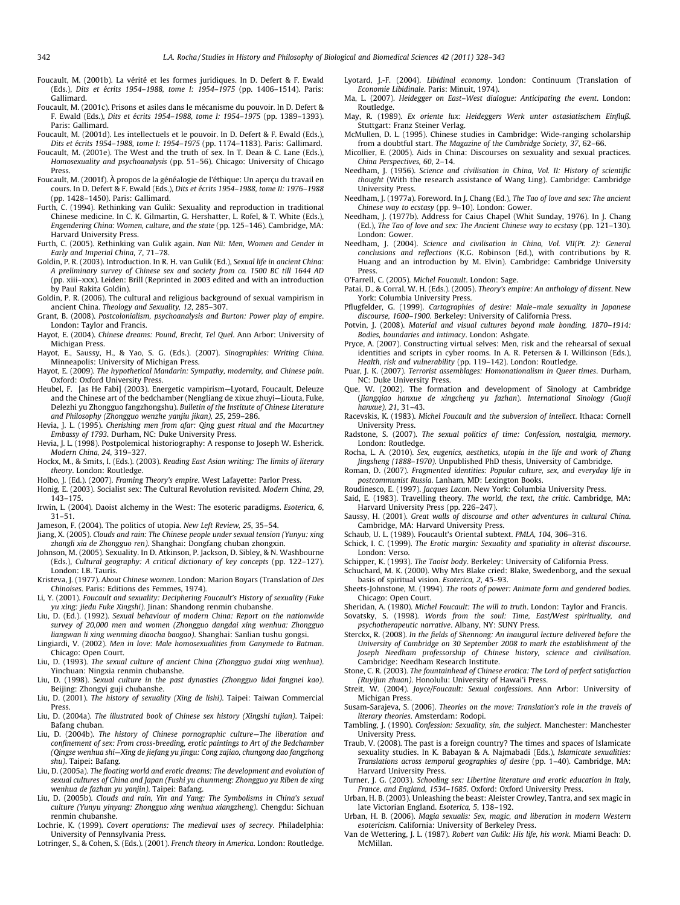- <span id="page-14-0"></span>Foucault, M. (2001b). La vérité et les formes juridiques. In D. Defert & F. Ewald (Eds.), Dits et écrits 1954–1988, tome I: 1954–1975 (pp. 1406–1514). Paris: Gallimard.
- Foucault, M. (2001c). Prisons et asiles dans le mécanisme du pouvoir. In D. Defert & F. Ewald (Eds.), Dits et écrits 1954–1988, tome I: 1954–1975 (pp. 1389–1393). Paris: Gallimard.
- Foucault, M. (2001d). Les intellectuels et le pouvoir. In D. Defert & F. Ewald (Eds.), Dits et écrits 1954–1988, tome I: 1954–1975 (pp. 1174–1183). Paris: Gallimard.
- Foucault, M. (2001e). The West and the truth of sex. In T. Dean & C. Lane (Eds.), Homosexuality and psychoanalysis (pp. 51–56). Chicago: University of Chicago Press.
- Foucault, M. (2001f). À propos de la généalogie de l'éthique: Un aperçu du travail en cours. In D. Defert & F. Ewald (Eds.), Dits et écrits 1954–1988, tome II: 1976–1988 (pp. 1428–1450). Paris: Gallimard.
- Furth, C. (1994). Rethinking van Gulik: Sexuality and reproduction in traditional Chinese medicine. In C. K. Gilmartin, G. Hershatter, L. Rofel, & T. White (Eds.), Engendering China: Women, culture, and the state (pp. 125–146). Cambridge, MA: Harvard University Press.
- Furth, C. (2005). Rethinking van Gulik again. Nan Nü: Men, Women and Gender in Early and Imperial China, 7, 71–78.
- Goldin, P. R. (2003). Introduction. In R. H. van Gulik (Ed.), Sexual life in ancient China: A preliminary survey of Chinese sex and society from ca. 1500 BC till 1644 AD (pp. xiii–xxx). Leiden: Brill (Reprinted in 2003 edited and with an introduction by Paul Rakita Goldin).
- Goldin, P. R. (2006). The cultural and religious background of sexual vampirism in ancient China. Theology and Sexuality, 12, 285–307.
- Grant, B. (2008). Postcolonialism, psychoanalysis and Burton: Power play of empire. London: Taylor and Francis.
- Hayot, E. (2004). Chinese dreams: Pound, Brecht, Tel Quel. Ann Arbor: University of Michigan Press.
- Hayot, E., Saussy, H., & Yao, S. G. (Eds.). (2007). Sinographies: Writing China. Minneapolis: University of Michigan Press.
- Hayot, E. (2009). The hypothetical Mandarin: Sympathy, modernity, and Chinese pain. Oxford: Oxford University Press.
- Heubel, F. [as He Fabi] (2003). Energetic vampirism—Lyotard, Foucault, Deleuze and the Chinese art of the bedchamber (Nengliang de xixue zhuyi—Liouta, Fuke, Delezhi yu Zhongguo fangzhongshu). Bulletin of the Institute of Chinese Literature and Philosophy (Zhongguo wenzhe yanjiu jikan), 25, 259–286.
- Hevia, J. L. (1995). Cherishing men from afar: Qing guest ritual and the Macartney Embassy of 1793. Durham, NC: Duke University Press.
- Hevia, J. L. (1998). Postpolemical historiography: A response to Joseph W. Esherick. Modern China, 24, 319–327.
- Hockx, M., & Smits, I. (Eds.). (2003). Reading East Asian writing: The limits of literary theory. London: Routledge.
- Holbo, J. (Ed.). (2007). Framing Theory's empire. West Lafayette: Parlor Press.
- Honig, E. (2003). Socialist sex: The Cultural Revolution revisited. Modern China, 29, 143–175.
- Irwin, L. (2004). Daoist alchemy in the West: The esoteric paradigms. Esoterica, 6, 31–51.
- Jameson, F. (2004). The politics of utopia. New Left Review, 25, 35–54.
- Jiang, X. (2005). Clouds and rain: The Chinese people under sexual tension (Yunyu: xing zhangli xia de Zhongguo ren). Shanghai: Dongfang chuban zhongxin.
- Johnson, M. (2005). Sexuality. In D. Atkinson, P. Jackson, D. Sibley, & N. Washbourne (Eds.), Cultural geography: A critical dictionary of key concepts (pp. 122–127). London: I.B. Tauris.
- Kristeva, J. (1977). About Chinese women. London: Marion Boyars (Translation of Des Chinoises. Paris: Editions des Femmes, 1974).
- Li, Y. (2001). Foucault and sexuality: Deciphering Foucault's History of sexuality (Fuke yu xing: jiedu Fuke Xingshi). Jinan: Shandong renmin chubanshe.
- Liu, D. (Ed.). (1992). Sexual behaviour of modern China: Report on the nationwide survey of 20,000 men and women (Zhongguo dangdai xing wenhua: Zhongguo liangwan li xing wenming diaocha baogao). Shanghai: Sanlian tushu gongsi.
- Lingiardi, V. (2002). Men in love: Male homosexualities from Ganymede to Batman. Chicago: Open Court.
- Liu, D. (1993). The sexual culture of ancient China (Zhongguo gudai xing wenhua). Yinchuan: Ningxia renmin chubanshe.
- Liu, D. (1998). Sexual culture in the past dynasties (Zhongguo lidai fangnei kao). Beijing: Zhongyi guji chubanshe.
- Liu, D. (2001). The history of sexuality (Xing de lishi). Taipei: Taiwan Commercial Press.
- Liu, D. (2004a). The illustrated book of Chinese sex history (Xingshi tujian). Taipei: Bafang chuban.
- Liu, D. (2004b). The history of Chinese pornographic culture—The liberation and confinement of sex: From cross-breeding, erotic paintings to Art of the Bedchamber (Qingse wenhua shi—Xing de jiefang yu jingu: Cong zajiao, chungong dao fangzhong shu). Taipei: Bafang.
- Liu, D. (2005a). The floating world and erotic dreams: The development and evolution of sexual cultures of China and Japan (Fushi yu chunmeng: Zhongguo yu Riben de xing wenhua de fazhan yu yanjin). Taipei: Bafang.
- Liu, D. (2005b). Clouds and rain, Yin and Yang: The Symbolisms in China's sexual culture (Yunyu yinyang: Zhongguo xing wenhua xiangzheng). Chengdu: Sichuan renmin chubanshe.
- Lochrie, K. (1999). Covert operations: The medieval uses of secrecy. Philadelphia: University of Pennsylvania Press.
- Lotringer, S., & Cohen, S. (Eds.). (2001). French theory in America. London: Routledge.
- Lyotard, J.-F. (2004). Libidinal economy. London: Continuum (Translation of Economie Libidinale. Paris: Minuit, 1974).
- Ma, L. (2007). Heidegger on East–West dialogue: Anticipating the event. London: Routledge.
- May, R. (1989). Ex oriente lux: Heideggers Werk unter ostasiatischem Einfluß. Stuttgart: Franz Steiner Verlag.
- McMullen, D. L. (1995). Chinese studies in Cambridge: Wide-ranging scholarship from a doubtful start. The Magazine of the Cambridge Society, 37, 62–66.
- Micollier, E. (2005). Aids in China: Discourses on sexuality and sexual practices. China Perspectives, 60, 2–14.
- Needham, J. (1956). Science and civilisation in China, Vol. II: History of scientific thought (With the research assistance of Wang Ling). Cambridge: Cambridge University Press.
- Needham, J. (1977a). Foreword. In J. Chang (Ed.), The Tao of love and sex: The ancient Chinese way to ecstasy (pp. 9–10). London: Gower.
- Needham, J. (1977b). Address for Caius Chapel (Whit Sunday, 1976). In J. Chang (Ed.), The Tao of love and sex: The Ancient Chinese way to ecstasy (pp. 121–130). London: Gower.
- Needham, J. (2004). Science and civilisation in China, Vol. VII(Pt. 2): General conclusions and reflections (K.G. Robinson (Ed.), with contributions by R. Huang and an introduction by M. Elvin). Cambridge: Cambridge University **Press**
- O'Farrell, C. (2005). Michel Foucault. London: Sage.
- Patai, D., & Corral, W. H. (Eds.). (2005). Theory's empire: An anthology of dissent. New York: Columbia University Press.
- Pflugfelder, G. (1999). Cartographies of desire: Male–male sexuality in Japanese discourse, 1600–1900. Berkeley: University of California Press.
- Potvin, J. (2008). Material and visual cultures beyond male bonding, 1870–1914: Bodies, boundaries and intimacy. London: Ashgate.
- Pryce, A. (2007). Constructing virtual selves: Men, risk and the rehearsal of sexual identities and scripts in cyber rooms. In A. R. Petersen & I. Wilkinson (Eds.), Health, risk and vulnerability (pp. 119–142). London: Routledge.
- Puar, J. K. (2007). Terrorist assemblages: Homonationalism in Queer times. Durham, NC: Duke University Press.
- Que, W. (2002). The formation and development of Sinology at Cambridge (Jiangqiao hanxue de xingcheng yu fazhan). International Sinology (Guoji hanxue), 21, 31–43.
- Racevskis, K. (1983). Michel Foucault and the subversion of intellect. Ithaca: Cornell University Press.
- Radstone, S. (2007). The sexual politics of time: Confession, nostalgia, memory. London: Routledge.
- Rocha, L. A. (2010). Sex, eugenics, aesthetics, utopia in the life and work of Zhang Jingsheng (1888–1970). Unpublished PhD thesis, University of Cambridge.
- Roman, D. (2007). Fragmented identities: Popular culture, sex, and everyday life in postcommunist Russia. Lanham, MD: Lexington Books.
- Roudinesco, E. (1997). Jacques Lacan. New York: Columbia University Press. Said, E. (1983). Travelling theory. The world, the text, the critic. Cambridge, MA:
- Harvard University Press (pp. 226–247). Saussy, H. (2001). Great walls of discourse and other adventures in cultural China.
- Cambridge, MA: Harvard University Press.
- Schaub, U. L. (1989). Foucault's Oriental subtext. PMLA, 104, 306–316. Schick, I. C. (1999). The Erotic margin: Sexuality and spatiality in alterist discourse. London: Verso.
- Schipper, K. (1993). The Taoist body. Berkeley: University of California Press.
- Schuchard, M. K. (2000). Why Mrs Blake cried: Blake, Swedenborg, and the sexual basis of spiritual vision. Esoterica, 2, 45–93.
- Sheets-Johnstone, M. (1994). The roots of power: Animate form and gendered bodies. Chicago: Open Court.
- 
- Sheridan, A. (1980). Michel Foucault: The will to truth. London: Taylor and Francis. Sovatsky, S. (1998). Words from the soul: Time, East/West spirituality, and psychotherapeutic narrative. Albany, NY: SUNY Press.
- Sterckx, R. (2008). In the fields of Shennong: An inaugural lecture delivered before the University of Cambridge on 30 September 2008 to mark the establishment of the Joseph Needham professorship of Chinese history, science and civilisation. Cambridge: Needham Research Institute.
- Stone, C. R. (2003). The fountainhead of Chinese erotica: The Lord of perfect satisfaction (Ruyijun zhuan). Honolulu: University of Hawai'i Press.
- Streit, W. (2004). Joyce/Foucault: Sexual confessions. Ann Arbor: University of Michigan Press.
- Susam-Sarajeva, S. (2006). Theories on the move: Translation's role in the travels of literary theories. Amsterdam: Rodopi.
- Tambling, J. (1990). Confession: Sexuality, sin, the subject. Manchester: Manchester University Press.
- Traub, V. (2008). The past is a foreign country? The times and spaces of Islamicate sexuality studies. In K. Babayan & A. Najmabadi (Eds.), Islamicate sexualities: Translations across temporal geographies of desire (pp. 1–40). Cambridge, MA: Harvard University Press.
- Turner, J. G. (2003). Schooling sex: Libertine literature and erotic education in Italy, France, and England, 1534–1685. Oxford: Oxford University Press.
- Urban, H. B. (2003). Unleashing the beast: Aleister Crowley, Tantra, and sex magic in late Victorian England. Esoterica, 5, 138–192.
- Urban, H. B. (2006). Magia sexualis: Sex, magic, and liberation in modern Western esotericism. California: University of Berkeley Press.
- Van de Wettering, J. L. (1987). Robert van Gulik: His life, his work. Miami Beach: D. McMillan.